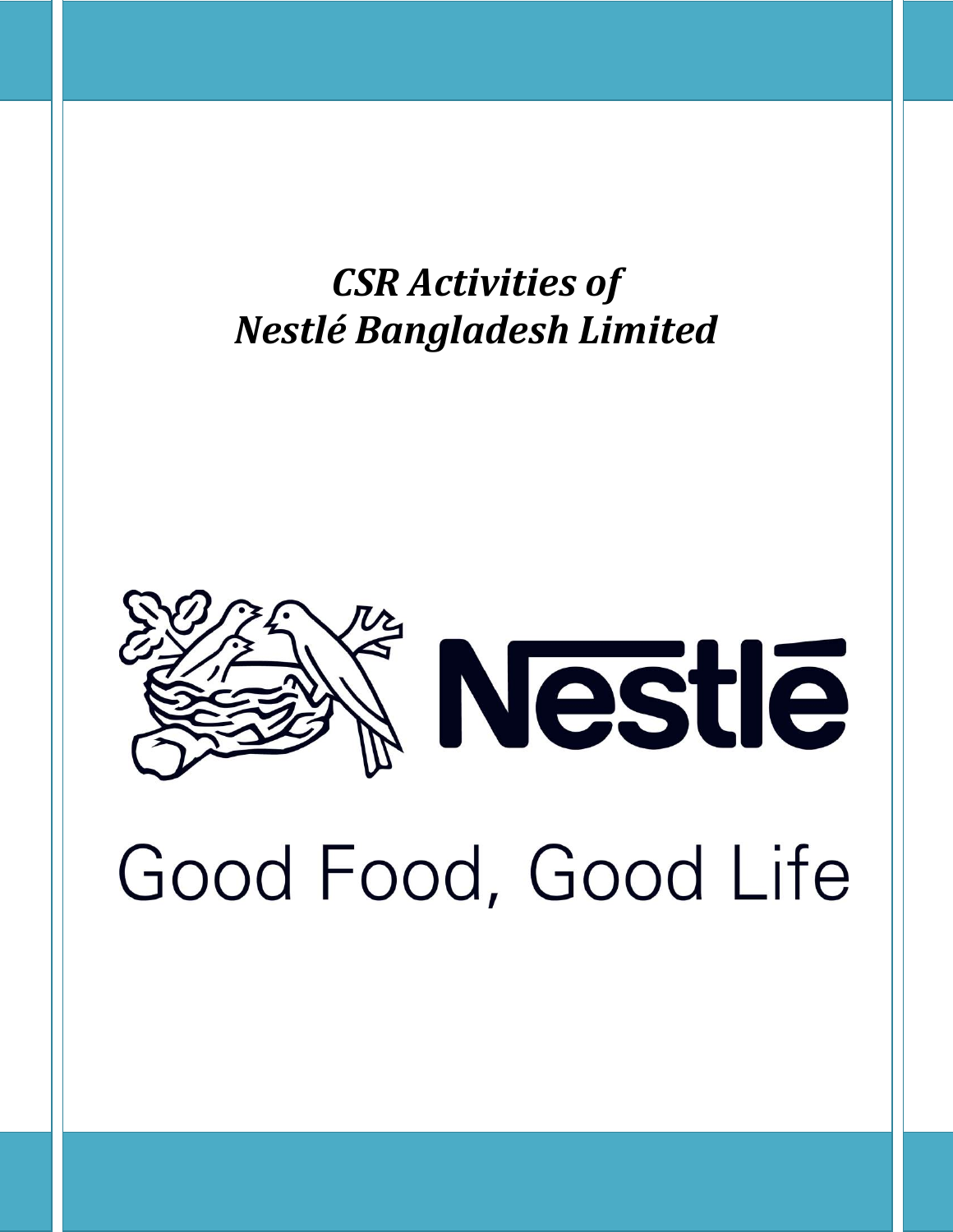*CSR Activities of Nestlé Bangladesh Limited*

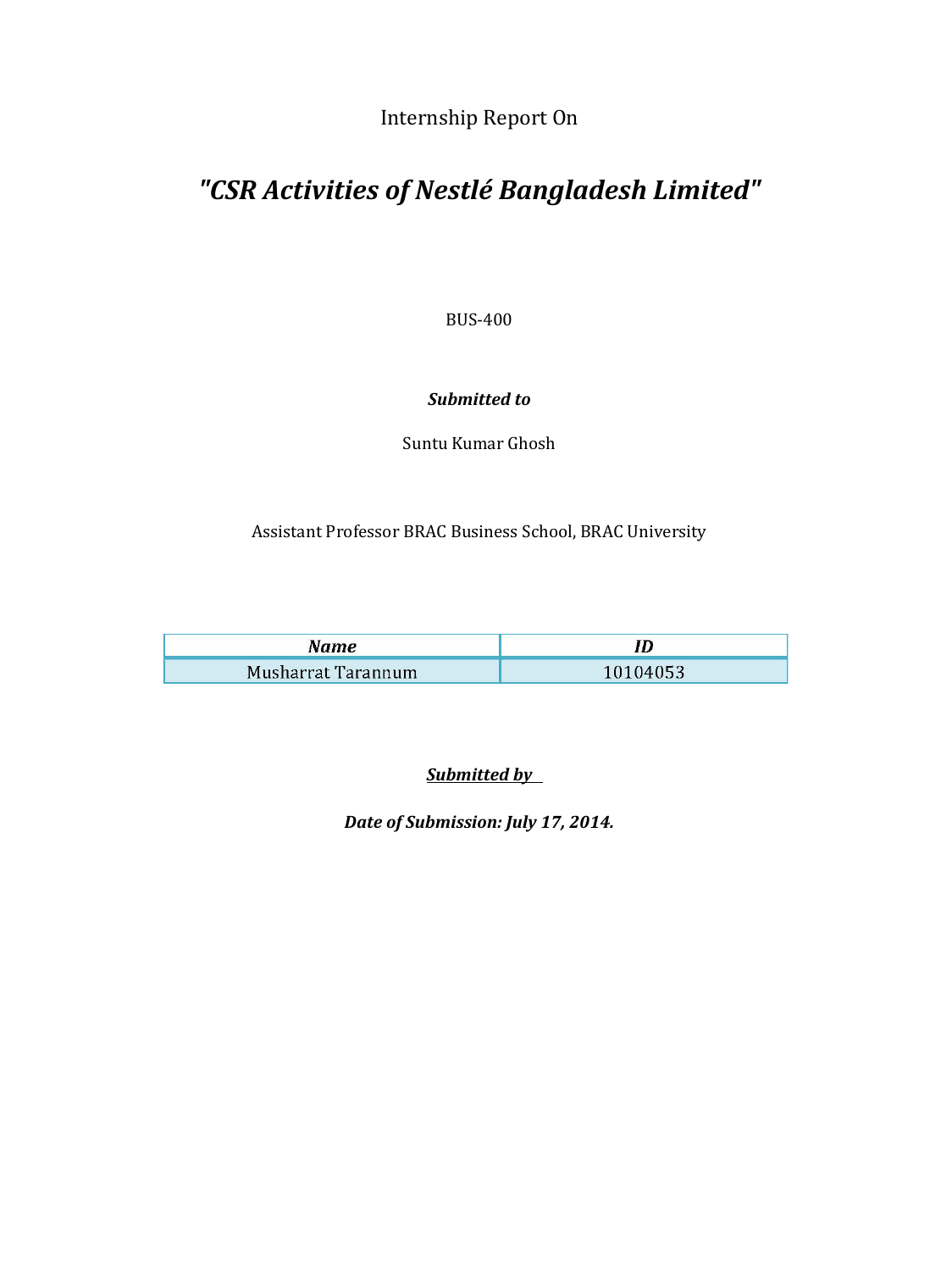Internship Report On

## *"CSR Activities of Nestlé Bangladesh Limited"*

BUS-400

## *Submitted to*

Suntu Kumar Ghosh

Assistant Professor BRAC Business School, BRAC University

| Name               |          |  |  |
|--------------------|----------|--|--|
| Musharrat Tarannum | 10104053 |  |  |

*Submitted by* 

*Date of Submission: July 17, 2014.*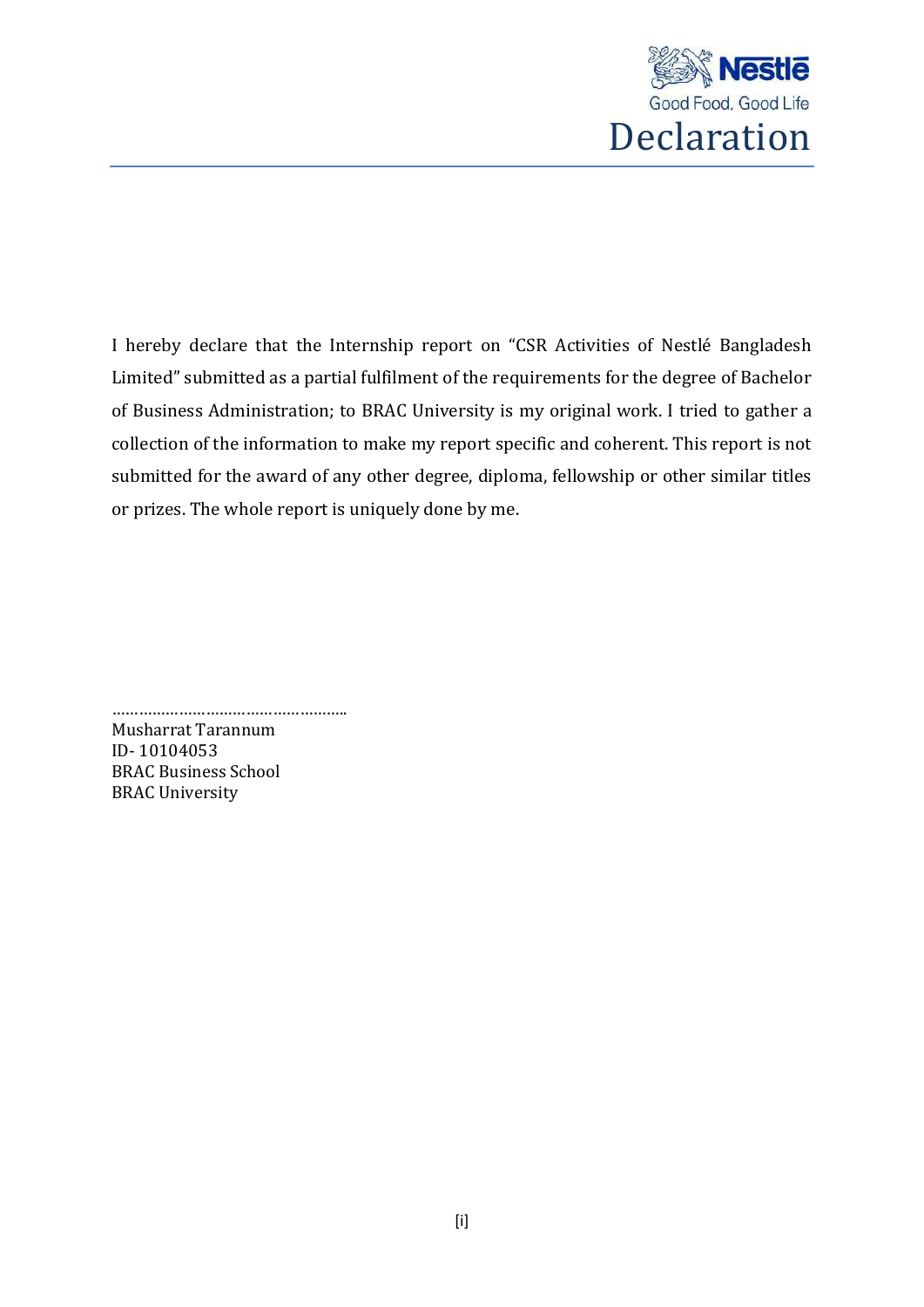

I hereby declare that the Internship report on "CSR Activities of Nestlé Bangladesh Limited" submitted as a partial fulfilment of the requirements for the degree of Bachelor of Business Administration; to BRAC University is my original work. I tried to gather a collection of the information to make my report specific and coherent. This report is not submitted for the award of any other degree, diploma, fellowship or other similar titles or prizes. The whole report is uniquely done by me.

…………………………………………….. Musharrat Tarannum ID- 10104053 BRAC Business School BRAC University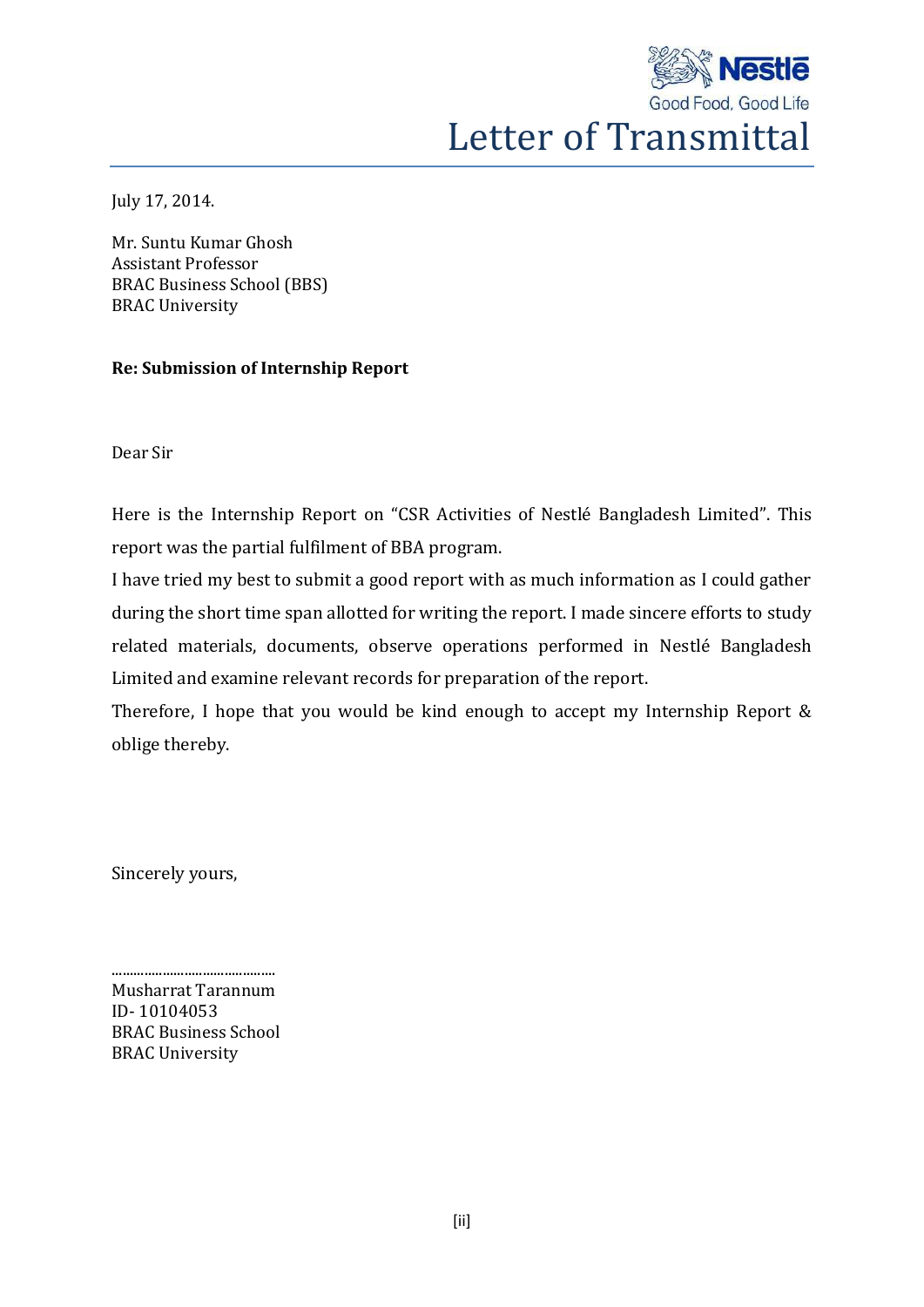

July 17, 2014.

Mr. Suntu Kumar Ghosh Assistant Professor BRAC Business School (BBS) BRAC University

## **Re: Submission of Internship Report**

Dear Sir

Here is the Internship Report on "CSR Activities of Nestlé Bangladesh Limited". This report was the partial fulfilment of BBA program.

I have tried my best to submit a good report with as much information as I could gather during the short time span allotted for writing the report. I made sincere efforts to study related materials, documents, observe operations performed in Nestlé Bangladesh Limited and examine relevant records for preparation of the report.

Therefore, I hope that you would be kind enough to accept my Internship Report & oblige thereby.

Sincerely yours,

Musharrat Tarannum ID- 10104053 BRAC Business School BRAC University

.............................................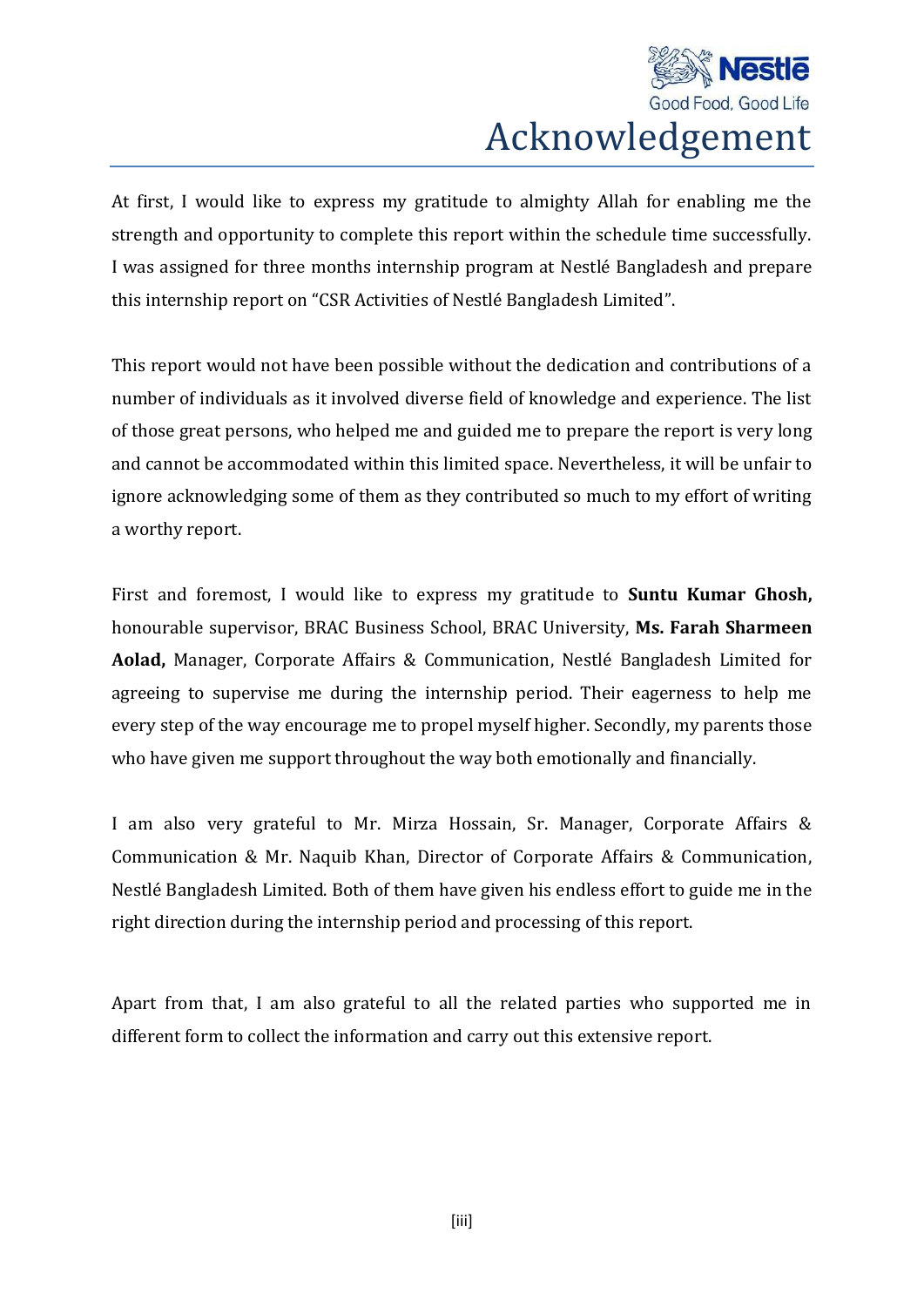

## Acknowledgement

At first, I would like to express my gratitude to almighty Allah for enabling me the strength and opportunity to complete this report within the schedule time successfully. I was assigned for three months internship program at Nestlé Bangladesh and prepare this internship report on "CSR Activities of Nestlé Bangladesh Limited".

This report would not have been possible without the dedication and contributions of a number of individuals as it involved diverse field of knowledge and experience. The list of those great persons, who helped me and guided me to prepare the report is very long and cannot be accommodated within this limited space. Nevertheless, it will be unfair to ignore acknowledging some of them as they contributed so much to my effort of writing a worthy report.

First and foremost, I would like to express my gratitude to **Suntu Kumar Ghosh,**  honourable supervisor, BRAC Business School, BRAC University, **Ms. Farah Sharmeen Aolad,** Manager, Corporate Affairs & Communication, Nestlé Bangladesh Limited for agreeing to supervise me during the internship period. Their eagerness to help me every step of the way encourage me to propel myself higher. Secondly, my parents those who have given me support throughout the way both emotionally and financially.

I am also very grateful to Mr. Mirza Hossain, Sr. Manager, Corporate Affairs & Communication & Mr. Naquib Khan, Director of Corporate Affairs & Communication, Nestlé Bangladesh Limited. Both of them have given his endless effort to guide me in the right direction during the internship period and processing of this report.

Apart from that, I am also grateful to all the related parties who supported me in different form to collect the information and carry out this extensive report.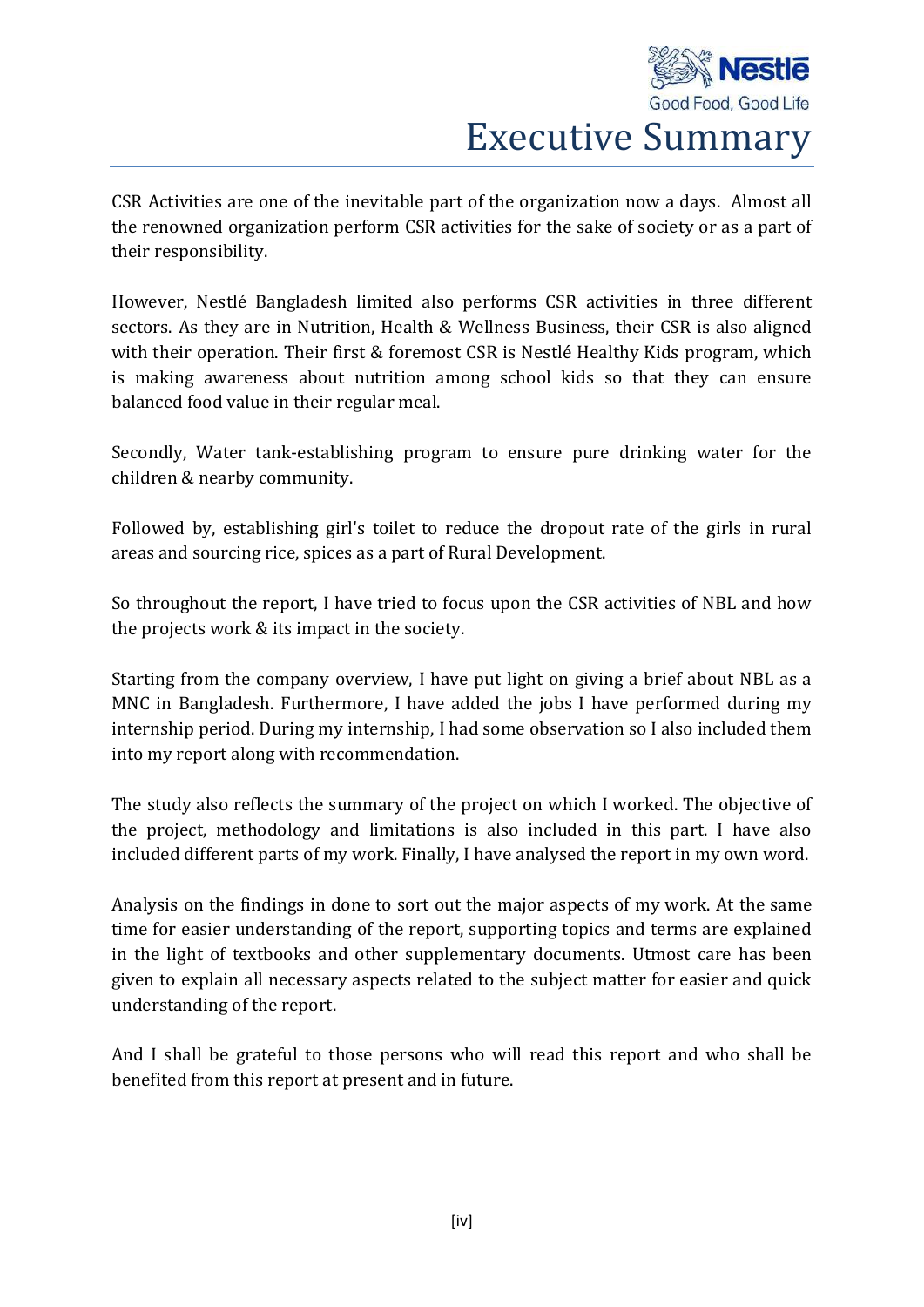

Executive Summary

CSR Activities are one of the inevitable part of the organization now a days. Almost all the renowned organization perform CSR activities for the sake of society or as a part of their responsibility.

However, Nestlé Bangladesh limited also performs CSR activities in three different sectors. As they are in Nutrition, Health & Wellness Business, their CSR is also aligned with their operation. Their first & foremost CSR is Nestlé Healthy Kids program, which is making awareness about nutrition among school kids so that they can ensure balanced food value in their regular meal.

Secondly, Water tank-establishing program to ensure pure drinking water for the children & nearby community.

Followed by, establishing girl's toilet to reduce the dropout rate of the girls in rural areas and sourcing rice, spices as a part of Rural Development.

So throughout the report, I have tried to focus upon the CSR activities of NBL and how the projects work & its impact in the society.

Starting from the company overview, I have put light on giving a brief about NBL as a MNC in Bangladesh. Furthermore, I have added the jobs I have performed during my internship period. During my internship, I had some observation so I also included them into my report along with recommendation.

The study also reflects the summary of the project on which I worked. The objective of the project, methodology and limitations is also included in this part. I have also included different parts of my work. Finally, I have analysed the report in my own word.

Analysis on the findings in done to sort out the major aspects of my work. At the same time for easier understanding of the report, supporting topics and terms are explained in the light of textbooks and other supplementary documents. Utmost care has been given to explain all necessary aspects related to the subject matter for easier and quick understanding of the report.

And I shall be grateful to those persons who will read this report and who shall be benefited from this report at present and in future.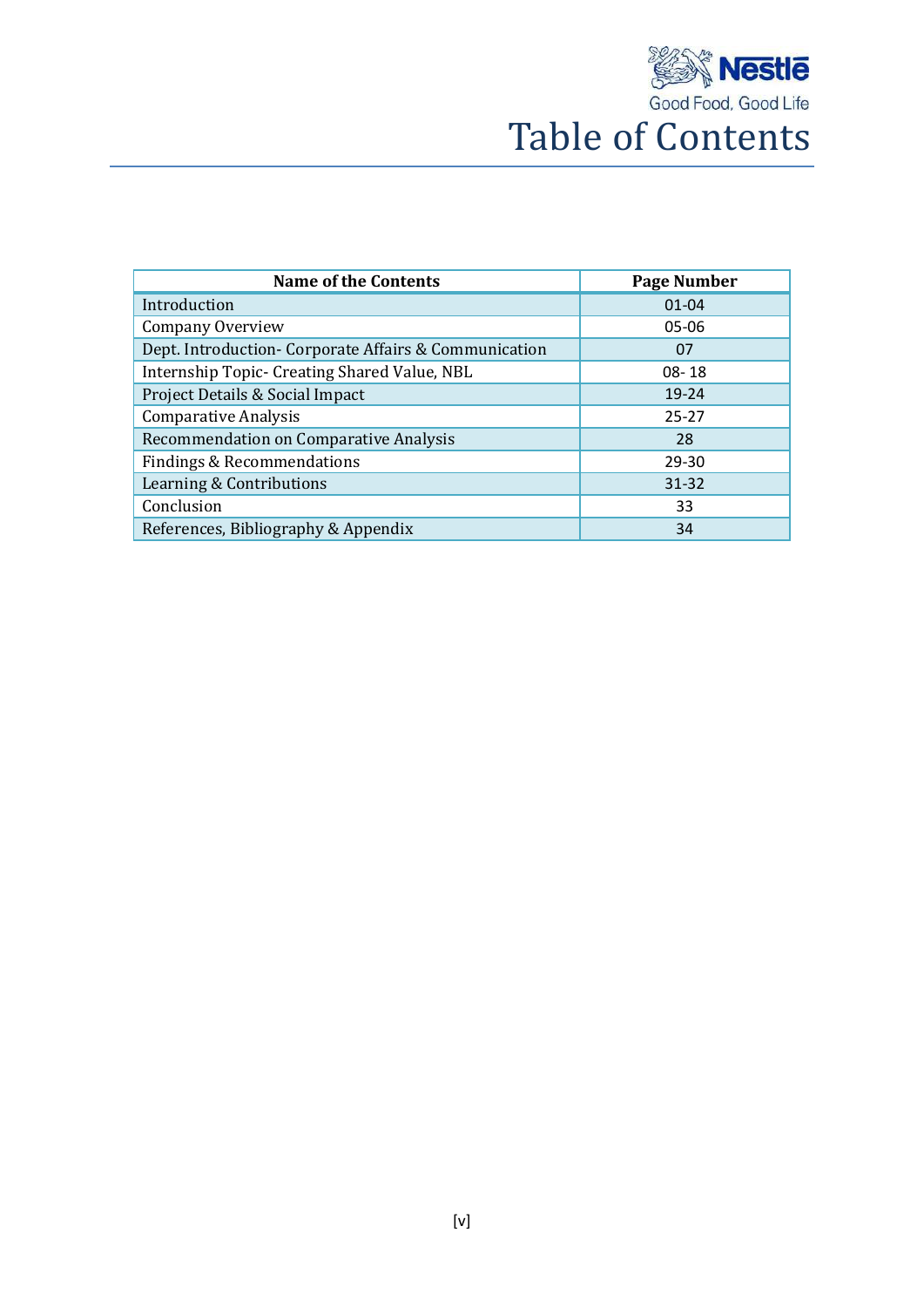

| <b>Name of the Contents</b>                           | Page Number |
|-------------------------------------------------------|-------------|
| Introduction                                          | $01 - 04$   |
| <b>Company Overview</b>                               | 05-06       |
| Dept. Introduction- Corporate Affairs & Communication | 07          |
| Internship Topic- Creating Shared Value, NBL          | $08 - 18$   |
| Project Details & Social Impact                       | 19-24       |
| <b>Comparative Analysis</b>                           | $25 - 27$   |
| Recommendation on Comparative Analysis                | 28          |
| <b>Findings &amp; Recommendations</b>                 | $29 - 30$   |
| Learning & Contributions                              | $31 - 32$   |
| Conclusion                                            | 33          |
| References, Bibliography & Appendix                   | 34          |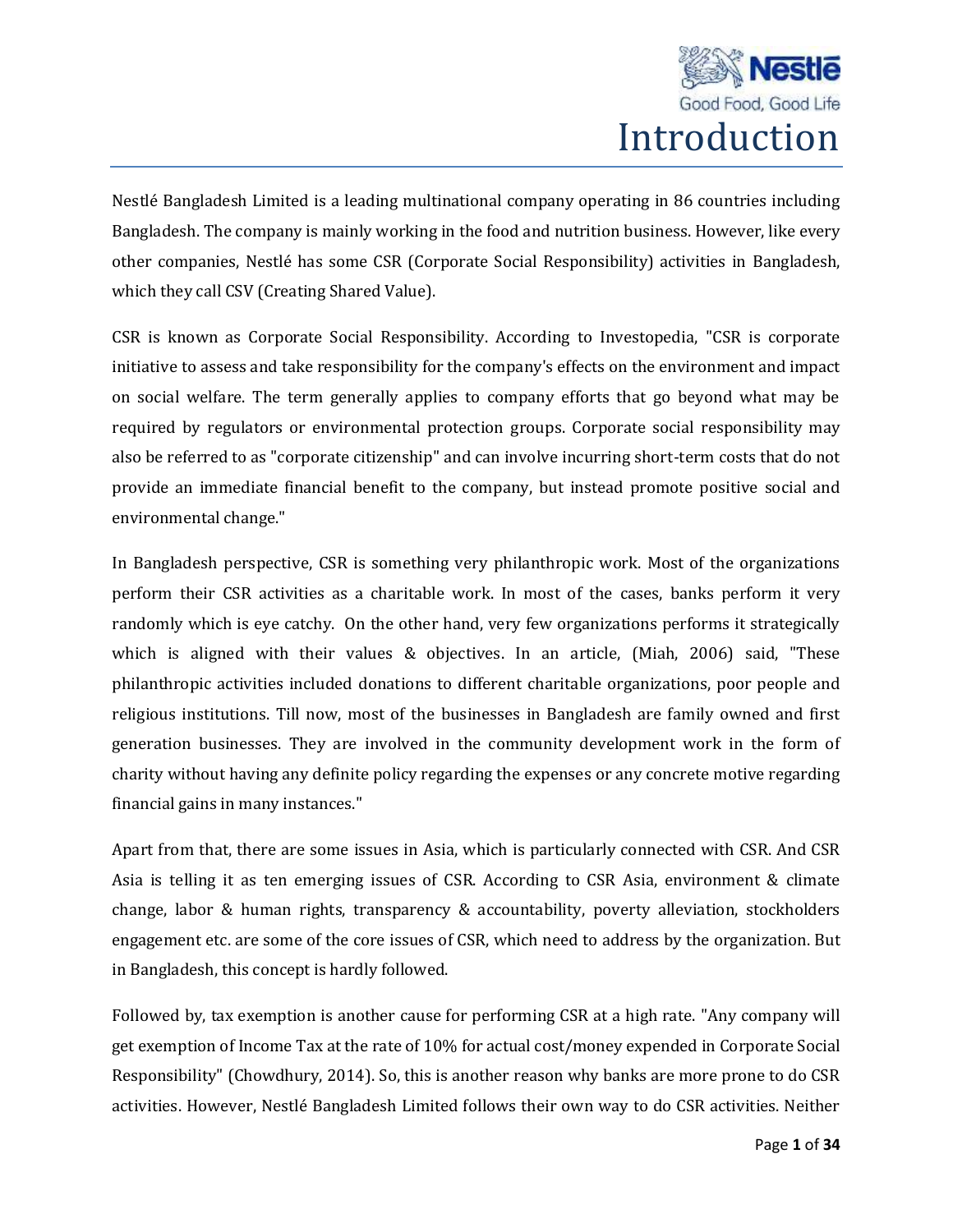

Nestlé Bangladesh Limited is a leading multinational company operating in 86 countries including Bangladesh. The company is mainly working in the food and nutrition business. However, like every other companies, Nestlé has some CSR (Corporate Social Responsibility) activities in Bangladesh, which they call CSV (Creating Shared Value).

CSR is known as Corporate Social Responsibility. According to Investopedia, "CSR is corporate initiative to assess and take responsibility for the company's effects on the environment and impact on social welfare. The term generally applies to company efforts that go beyond what may be required by regulators or environmental protection groups. Corporate social responsibility may also be referred to as "corporate citizenship" and can involve incurring short-term costs that do not provide an immediate financial benefit to the company, but instead promote positive social and environmental change."

In Bangladesh perspective, CSR is something very philanthropic work. Most of the organizations perform their CSR activities as a charitable work. In most of the cases, banks perform it very randomly which is eye catchy. On the other hand, very few organizations performs it strategically which is aligned with their values & objectives. In an article, (Miah, 2006) said, "These philanthropic activities included donations to different charitable organizations, poor people and religious institutions. Till now, most of the businesses in Bangladesh are family owned and first generation businesses. They are involved in the community development work in the form of charity without having any definite policy regarding the expenses or any concrete motive regarding financial gains in many instances."

Apart from that, there are some issues in Asia, which is particularly connected with CSR. And CSR Asia is telling it as ten emerging issues of CSR. According to CSR Asia, environment & climate change, labor & human rights, transparency & accountability, poverty alleviation, stockholders engagement etc. are some of the core issues of CSR, which need to address by the organization. But in Bangladesh, this concept is hardly followed.

Followed by, tax exemption is another cause for performing CSR at a high rate. "Any company will get exemption of Income Tax at the rate of 10% for actual cost/money expended in Corporate Social Responsibility" (Chowdhury, 2014). So, this is another reason why banks are more prone to do CSR activities. However, Nestlé Bangladesh Limited follows their own way to do CSR activities. Neither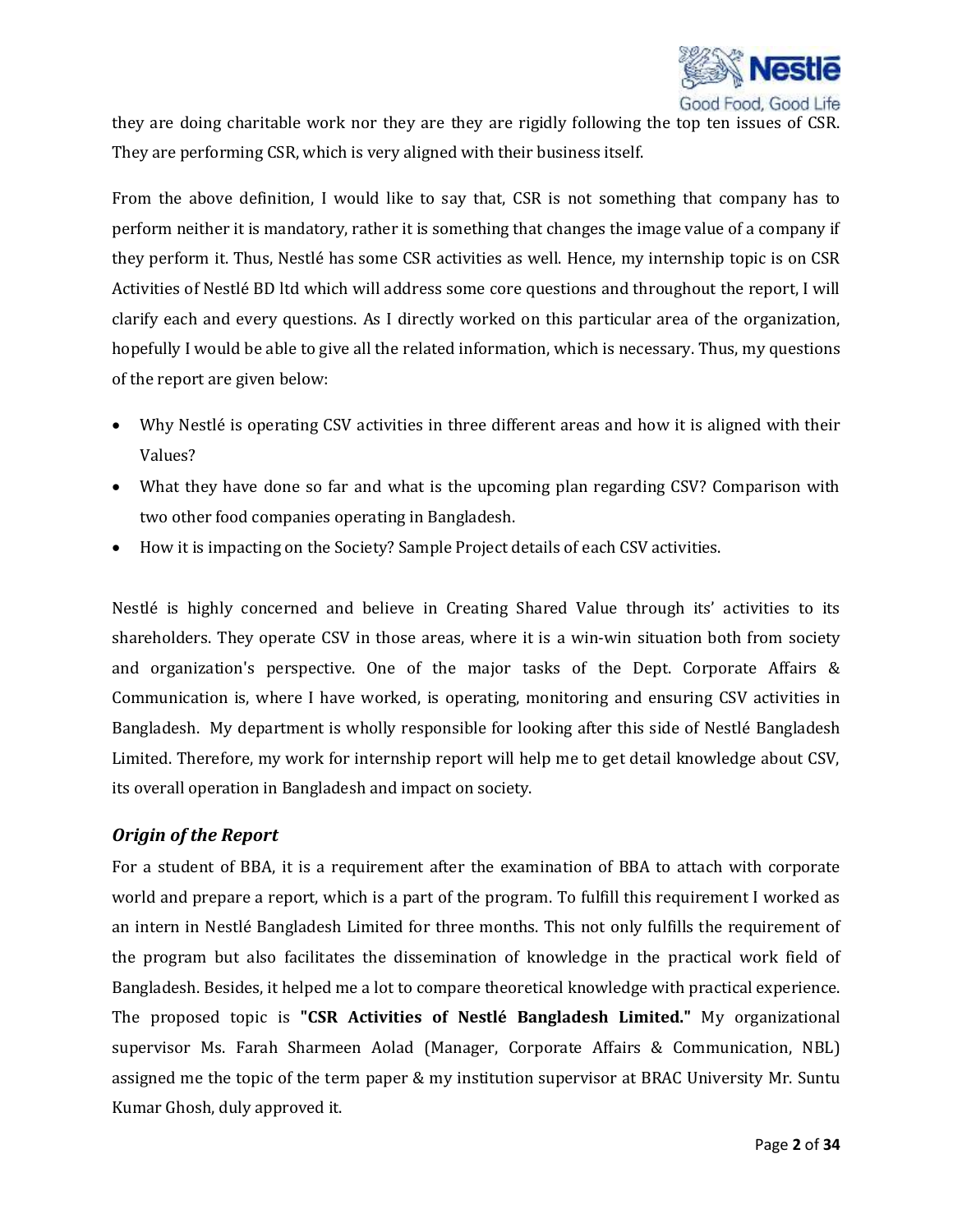

they are doing charitable work nor they are they are rigidly following the top ten issues of CSR. They are performing CSR, which is very aligned with their business itself.

From the above definition, I would like to say that, CSR is not something that company has to perform neither it is mandatory, rather it is something that changes the image value of a company if they perform it. Thus, Nestlé has some CSR activities as well. Hence, my internship topic is on CSR Activities of Nestlé BD ltd which will address some core questions and throughout the report, I will clarify each and every questions. As I directly worked on this particular area of the organization, hopefully I would be able to give all the related information, which is necessary. Thus, my questions of the report are given below:

- Why Nestlé is operating CSV activities in three different areas and how it is aligned with their Values?
- What they have done so far and what is the upcoming plan regarding CSV? Comparison with two other food companies operating in Bangladesh.
- How it is impacting on the Society? Sample Project details of each CSV activities.

Nestlé is highly concerned and believe in Creating Shared Value through its' activities to its shareholders. They operate CSV in those areas, where it is a win-win situation both from society and organization's perspective. One of the major tasks of the Dept. Corporate Affairs & Communication is, where I have worked, is operating, monitoring and ensuring CSV activities in Bangladesh. My department is wholly responsible for looking after this side of Nestlé Bangladesh Limited. Therefore, my work for internship report will help me to get detail knowledge about CSV, its overall operation in Bangladesh and impact on society.

### *Origin of the Report*

For a student of BBA, it is a requirement after the examination of BBA to attach with corporate world and prepare a report, which is a part of the program. To fulfill this requirement I worked as an intern in Nestlé Bangladesh Limited for three months. This not only fulfills the requirement of the program but also facilitates the dissemination of knowledge in the practical work field of Bangladesh. Besides, it helped me a lot to compare theoretical knowledge with practical experience. The proposed topic is **"CSR Activities of Nestlé Bangladesh Limited."** My organizational supervisor Ms. Farah Sharmeen Aolad (Manager, Corporate Affairs & Communication, NBL) assigned me the topic of the term paper & my institution supervisor at BRAC University Mr. Suntu Kumar Ghosh, duly approved it.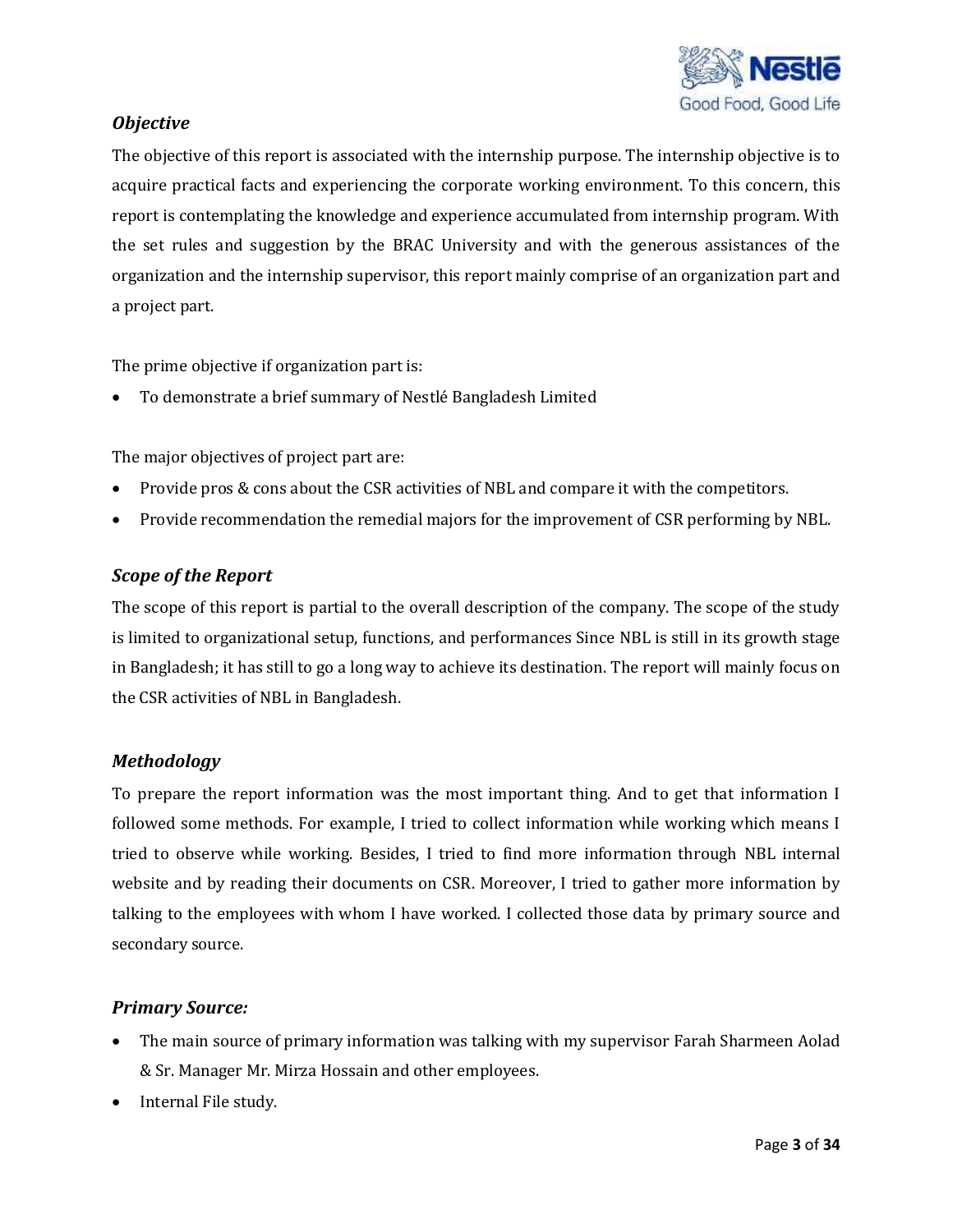

## *Objective*

The objective of this report is associated with the internship purpose. The internship objective is to acquire practical facts and experiencing the corporate working environment. To this concern, this report is contemplating the knowledge and experience accumulated from internship program. With the set rules and suggestion by the BRAC University and with the generous assistances of the organization and the internship supervisor, this report mainly comprise of an organization part and a project part.

The prime objective if organization part is:

To demonstrate a brief summary of Nestlé Bangladesh Limited

The major objectives of project part are:

- Provide pros & cons about the CSR activities of NBL and compare it with the competitors.
- Provide recommendation the remedial majors for the improvement of CSR performing by NBL.

### *Scope of the Report*

The scope of this report is partial to the overall description of the company. The scope of the study is limited to organizational setup, functions, and performances Since NBL is still in its growth stage in Bangladesh; it has still to go a long way to achieve its destination. The report will mainly focus on the CSR activities of NBL in Bangladesh.

### *Methodology*

To prepare the report information was the most important thing. And to get that information I followed some methods. For example, I tried to collect information while working which means I tried to observe while working. Besides, I tried to find more information through NBL internal website and by reading their documents on CSR. Moreover, I tried to gather more information by talking to the employees with whom I have worked. I collected those data by primary source and secondary source.

#### *Primary Source:*

- The main source of primary information was talking with my supervisor Farah Sharmeen Aolad & Sr. Manager Mr. Mirza Hossain and other employees.
- Internal File study.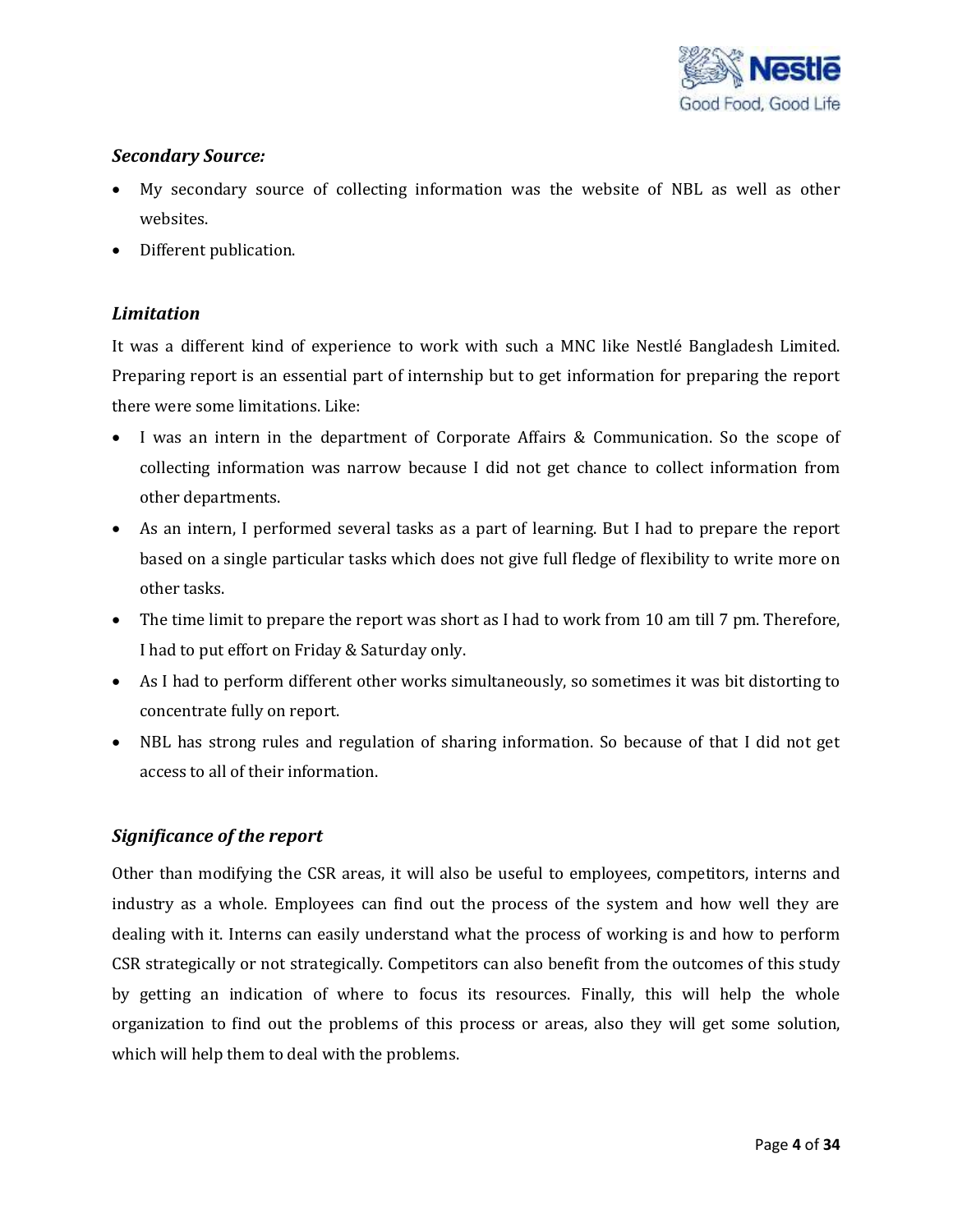

## *Secondary Source:*

- My secondary source of collecting information was the website of NBL as well as other websites.
- Different publication.

## *Limitation*

It was a different kind of experience to work with such a MNC like Nestlé Bangladesh Limited. Preparing report is an essential part of internship but to get information for preparing the report there were some limitations. Like:

- I was an intern in the department of Corporate Affairs & Communication. So the scope of collecting information was narrow because I did not get chance to collect information from other departments.
- As an intern, I performed several tasks as a part of learning. But I had to prepare the report based on a single particular tasks which does not give full fledge of flexibility to write more on other tasks.
- The time limit to prepare the report was short as I had to work from 10 am till 7 pm. Therefore, I had to put effort on Friday & Saturday only.
- As I had to perform different other works simultaneously, so sometimes it was bit distorting to concentrate fully on report.
- NBL has strong rules and regulation of sharing information. So because of that I did not get access to all of their information.

## *Significance of the report*

Other than modifying the CSR areas, it will also be useful to employees, competitors, interns and industry as a whole. Employees can find out the process of the system and how well they are dealing with it. Interns can easily understand what the process of working is and how to perform CSR strategically or not strategically. Competitors can also benefit from the outcomes of this study by getting an indication of where to focus its resources. Finally, this will help the whole organization to find out the problems of this process or areas, also they will get some solution, which will help them to deal with the problems.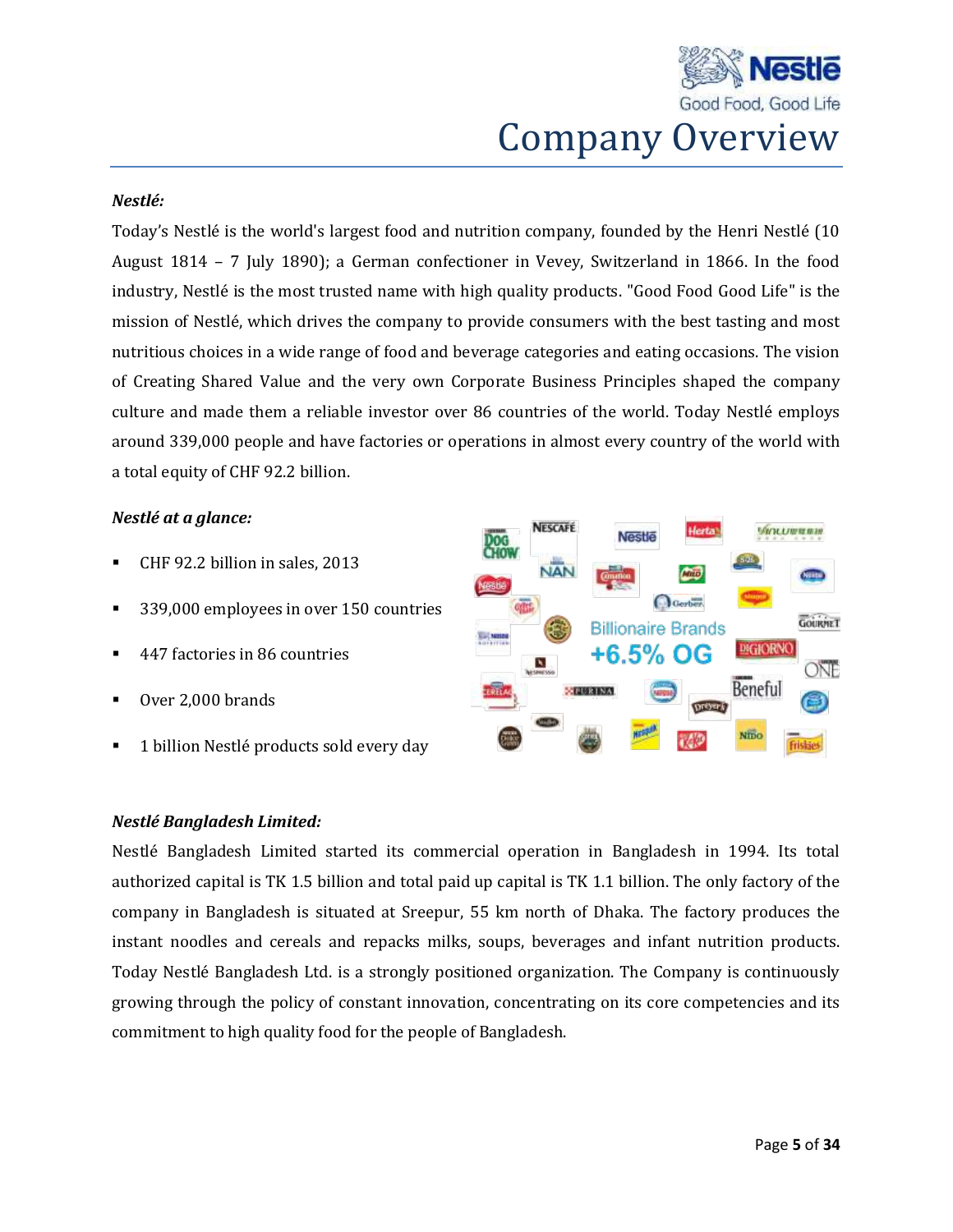

#### *Nestlé:*

Today's Nestlé is the world's largest food and nutrition company, founded by the Henri Nestlé (10 August 1814 – 7 July 1890); a German confectioner in Vevey, Switzerland in 1866. In the food industry, Nestlé is the most trusted name with high quality products. "Good Food Good Life" is the mission of Nestlé, which drives the company to provide consumers with the best tasting and most nutritious choices in a wide range of food and beverage categories and eating occasions. The vision of Creating Shared Value and the very own Corporate Business Principles shaped the company culture and made them a reliable investor over 86 countries of the world. Today Nestlé employs around 339,000 people and have factories or operations in almost every country of the world with a total equity of CHF 92.2 billion.

#### *Nestlé at a glance:*

- CHF 92.2 billion in sales, 2013
- <sup>339,000</sup> employees in over 150 countries
- 447 factories in 86 countries
- Over 2,000 brands
- 1 billion Nestlé products sold every day



### *Nestlé Bangladesh Limited:*

Nestlé Bangladesh Limited started its commercial operation in Bangladesh in 1994. Its total authorized capital is TK 1.5 billion and total paid up capital is TK 1.1 billion. The only factory of the company in Bangladesh is situated at Sreepur, 55 km north of Dhaka. The factory produces the instant noodles and cereals and repacks milks, soups, beverages and infant nutrition products. Today Nestlé Bangladesh Ltd. is a strongly positioned organization. The Company is continuously growing through the policy of constant innovation, concentrating on its core competencies and its commitment to high quality food for the people of Bangladesh.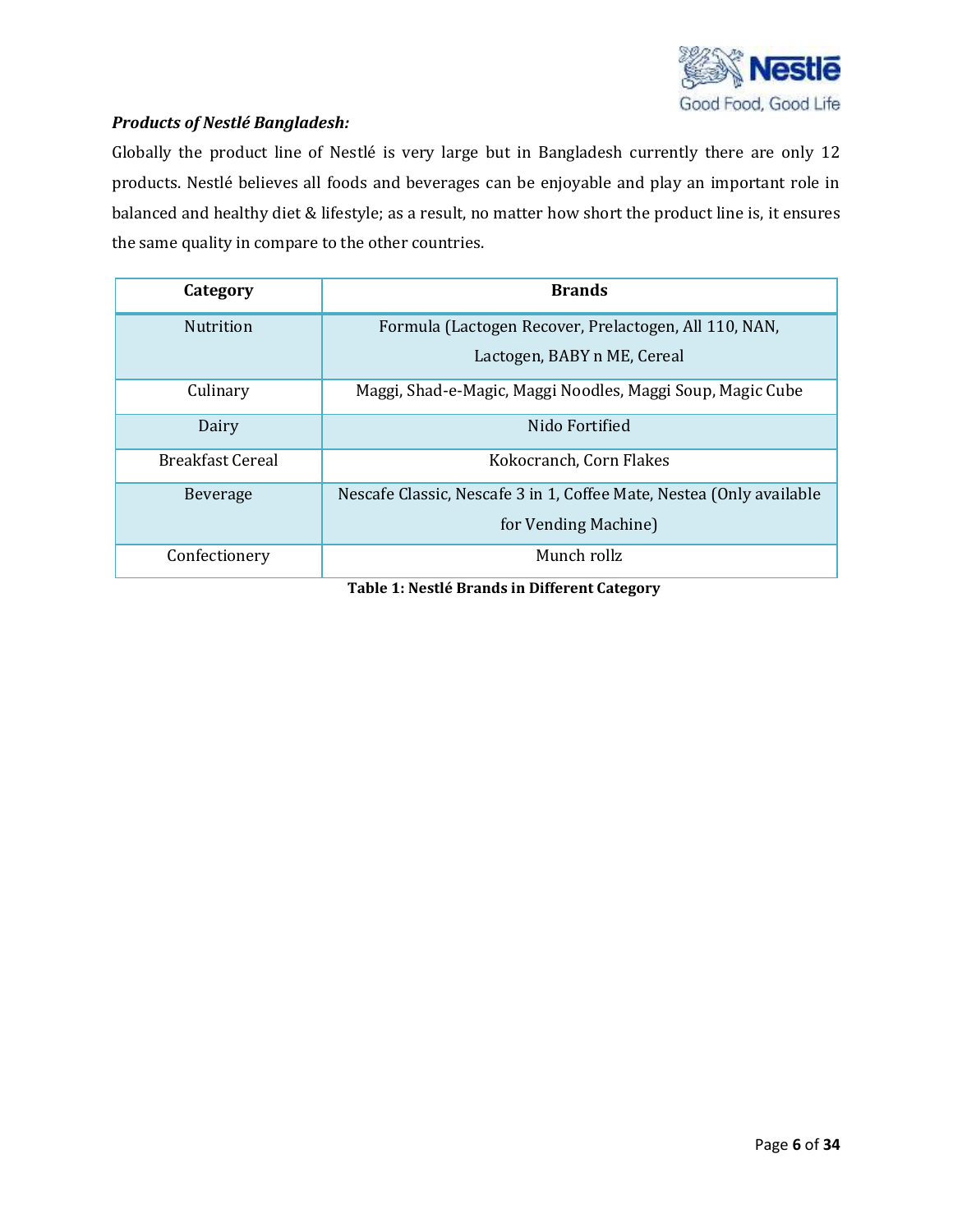

### *Products of Nestlé Bangladesh:*

Globally the product line of Nestlé is very large but in Bangladesh currently there are only 12 products. Nestlé believes all foods and beverages can be enjoyable and play an important role in balanced and healthy diet & lifestyle; as a result, no matter how short the product line is, it ensures the same quality in compare to the other countries.

| Category                | <b>Brands</b>                                                                        |
|-------------------------|--------------------------------------------------------------------------------------|
| <b>Nutrition</b>        | Formula (Lactogen Recover, Prelactogen, All 110, NAN,<br>Lactogen, BABY n ME, Cereal |
|                         |                                                                                      |
| Culinary                | Maggi, Shad-e-Magic, Maggi Noodles, Maggi Soup, Magic Cube                           |
| Dairy                   | Nido Fortified                                                                       |
| <b>Breakfast Cereal</b> | Kokocranch, Corn Flakes                                                              |
| <b>Beverage</b>         | Nescafe Classic, Nescafe 3 in 1, Coffee Mate, Nestea (Only available                 |
|                         | for Vending Machine)                                                                 |
| Confectionery           | Munch rollz                                                                          |

**Table 1: Nestlé Brands in Different Category**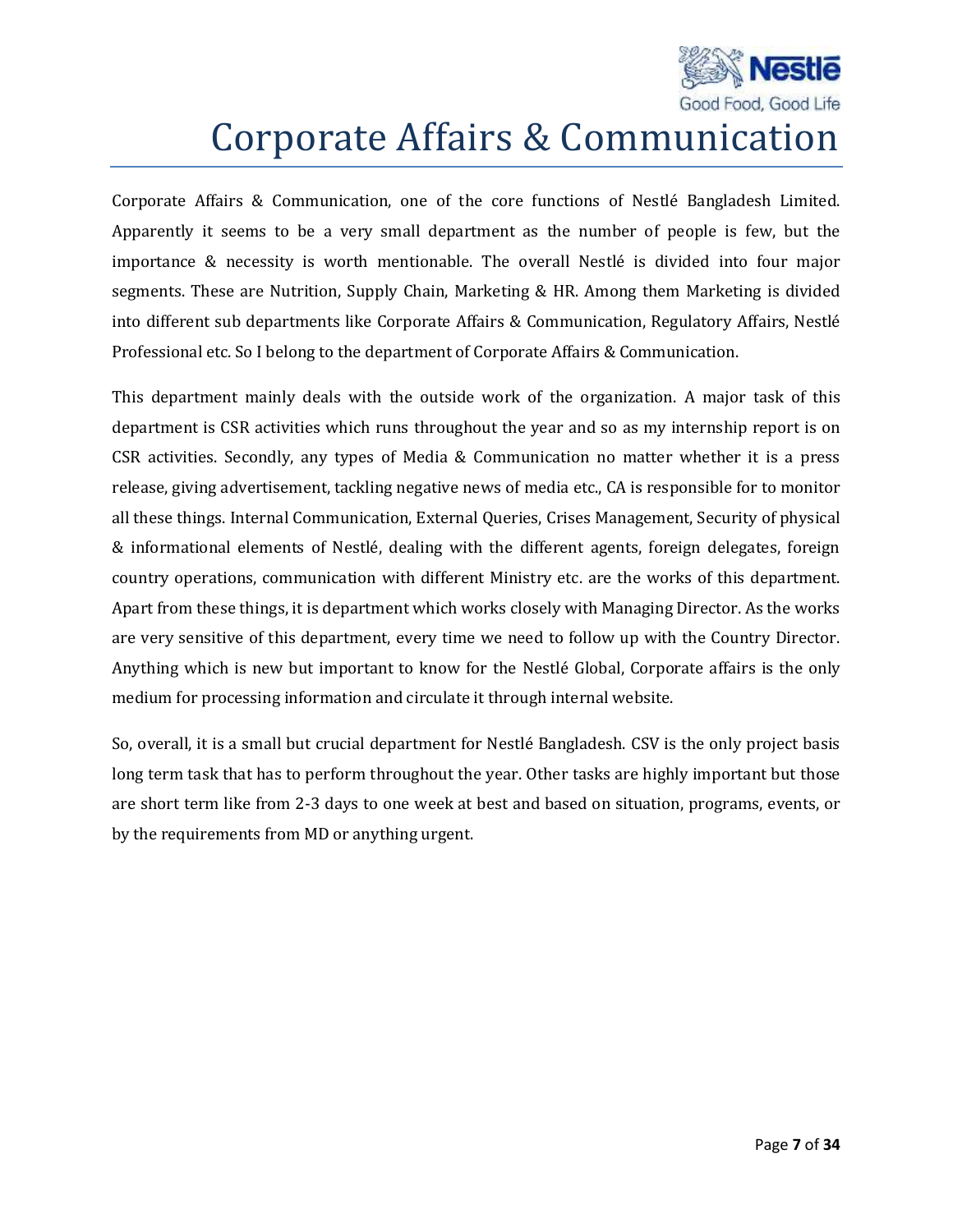

## Corporate Affairs & Communication

Corporate Affairs & Communication, one of the core functions of Nestlé Bangladesh Limited. Apparently it seems to be a very small department as the number of people is few, but the importance & necessity is worth mentionable. The overall Nestlé is divided into four major segments. These are Nutrition, Supply Chain, Marketing & HR. Among them Marketing is divided into different sub departments like Corporate Affairs & Communication, Regulatory Affairs, Nestlé Professional etc. So I belong to the department of Corporate Affairs & Communication.

This department mainly deals with the outside work of the organization. A major task of this department is CSR activities which runs throughout the year and so as my internship report is on CSR activities. Secondly, any types of Media & Communication no matter whether it is a press release, giving advertisement, tackling negative news of media etc., CA is responsible for to monitor all these things. Internal Communication, External Queries, Crises Management, Security of physical & informational elements of Nestlé, dealing with the different agents, foreign delegates, foreign country operations, communication with different Ministry etc. are the works of this department. Apart from these things, it is department which works closely with Managing Director. As the works are very sensitive of this department, every time we need to follow up with the Country Director. Anything which is new but important to know for the Nestlé Global, Corporate affairs is the only medium for processing information and circulate it through internal website.

So, overall, it is a small but crucial department for Nestlé Bangladesh. CSV is the only project basis long term task that has to perform throughout the year. Other tasks are highly important but those are short term like from 2-3 days to one week at best and based on situation, programs, events, or by the requirements from MD or anything urgent.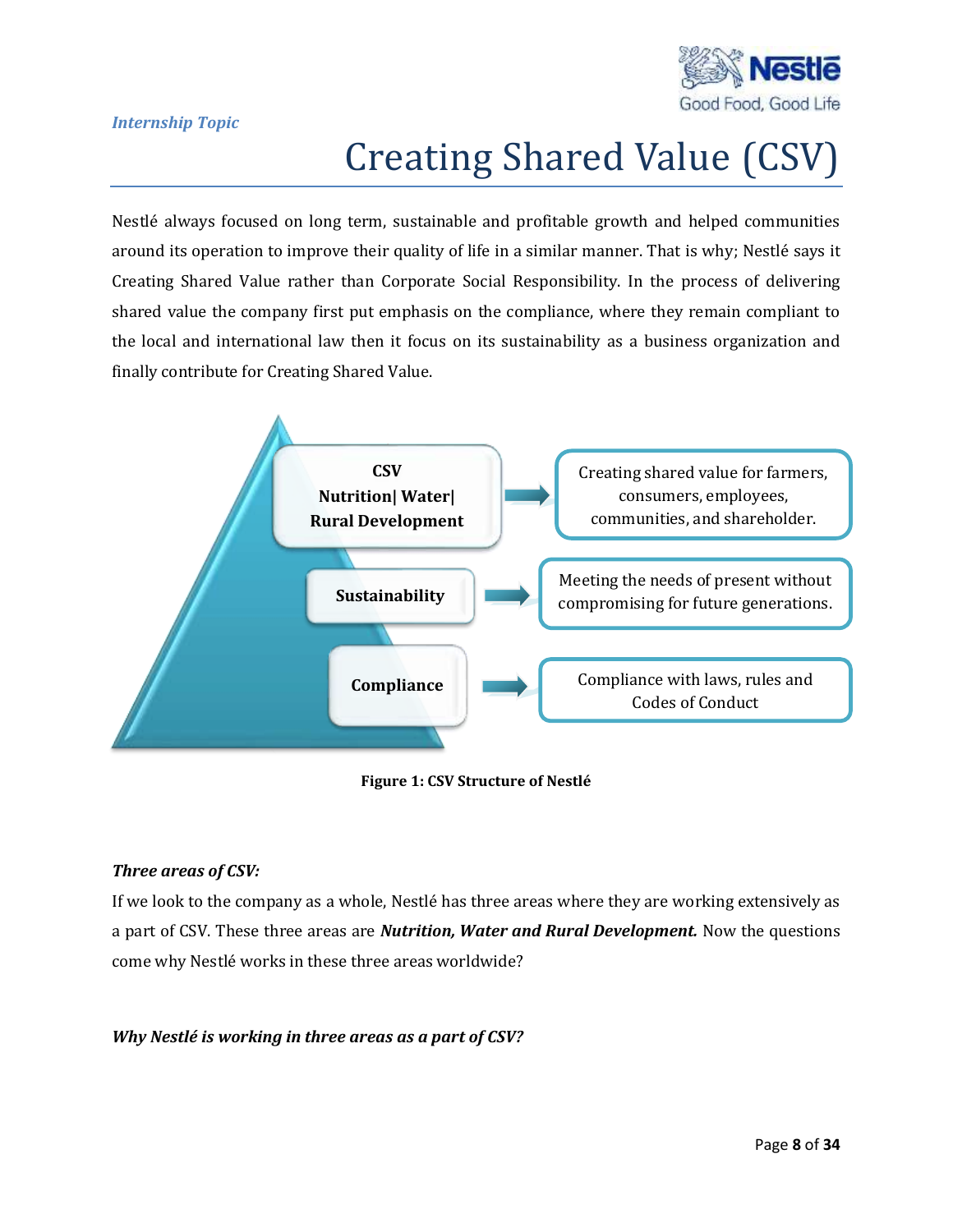

#### *Internship Topic*

# Creating Shared Value (CSV)

Nestlé always focused on long term, sustainable and profitable growth and helped communities around its operation to improve their quality of life in a similar manner. That is why; Nestlé says it Creating Shared Value rather than Corporate Social Responsibility. In the process of delivering shared value the company first put emphasis on the compliance, where they remain compliant to the local and international law then it focus on its sustainability as a business organization and finally contribute for Creating Shared Value.



#### **Figure 1: CSV Structure of Nestlé**

#### *Three areas of CSV:*

If we look to the company as a whole, Nestlé has three areas where they are working extensively as a part of CSV. These three areas are *Nutrition, Water and Rural Development.* Now the questions come why Nestlé works in these three areas worldwide?

#### *Why Nestlé is working in three areas as a part of CSV?*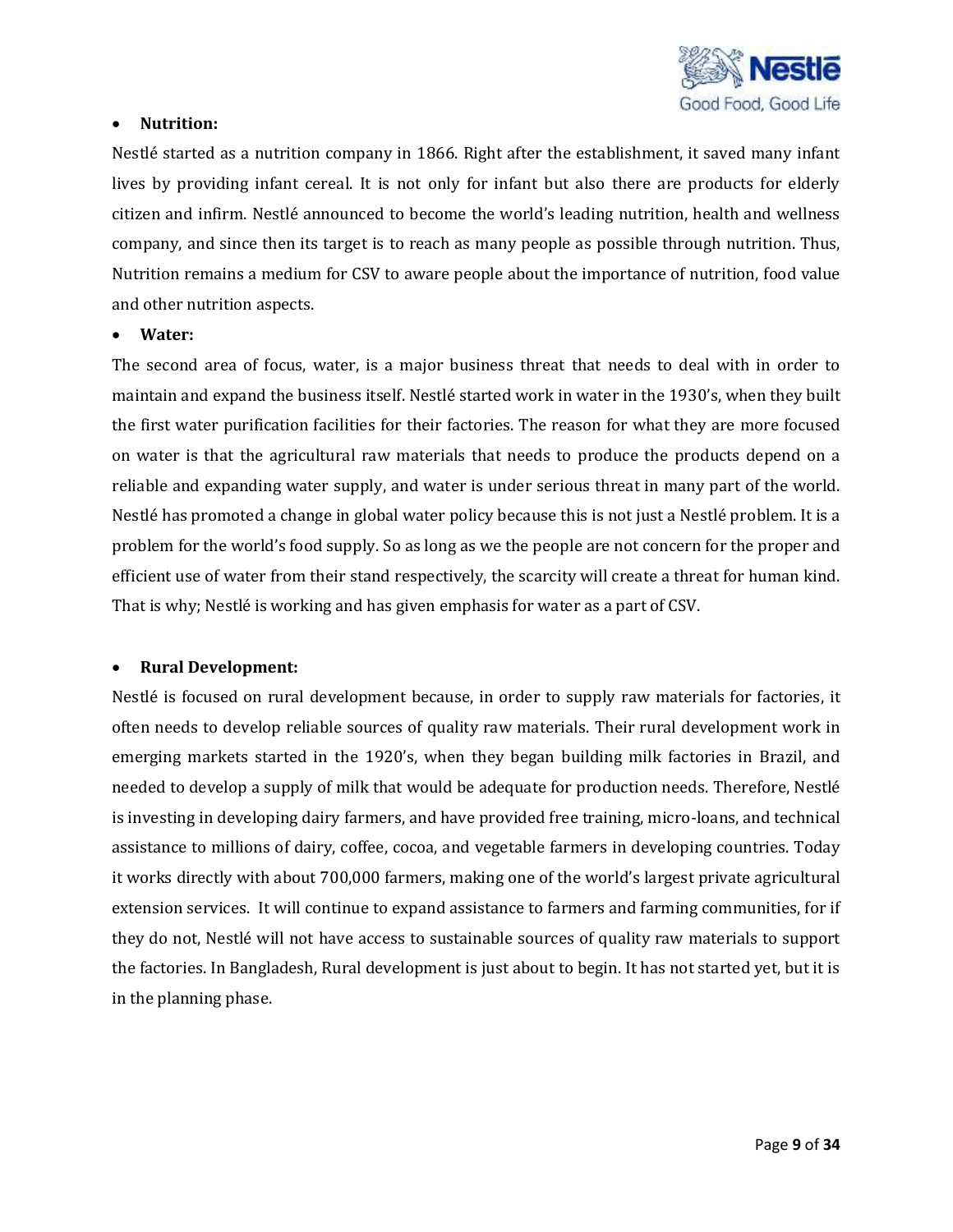

#### **Nutrition:**

Nestlé started as a nutrition company in 1866. Right after the establishment, it saved many infant lives by providing infant cereal. It is not only for infant but also there are products for elderly citizen and infirm. Nestlé announced to become the world's leading nutrition, health and wellness company, and since then its target is to reach as many people as possible through nutrition. Thus, Nutrition remains a medium for CSV to aware people about the importance of nutrition, food value and other nutrition aspects.

#### **Water:**

The second area of focus, water, is a major business threat that needs to deal with in order to maintain and expand the business itself. Nestlé started work in water in the 1930's, when they built the first water purification facilities for their factories. The reason for what they are more focused on water is that the agricultural raw materials that needs to produce the products depend on a reliable and expanding water supply, and water is under serious threat in many part of the world. Nestlé has promoted a change in global water policy because this is not just a Nestlé problem. It is a problem for the world's food supply. So as long as we the people are not concern for the proper and efficient use of water from their stand respectively, the scarcity will create a threat for human kind. That is why; Nestlé is working and has given emphasis for water as a part of CSV.

#### **Rural Development:**

Nestlé is focused on rural development because, in order to supply raw materials for factories, it often needs to develop reliable sources of quality raw materials. Their rural development work in emerging markets started in the 1920's, when they began building milk factories in Brazil, and needed to develop a supply of milk that would be adequate for production needs. Therefore, Nestlé is investing in developing dairy farmers, and have provided free training, micro-loans, and technical assistance to millions of dairy, coffee, cocoa, and vegetable farmers in developing countries. Today it works directly with about 700,000 farmers, making one of the world's largest private agricultural extension services. It will continue to expand assistance to farmers and farming communities, for if they do not, Nestlé will not have access to sustainable sources of quality raw materials to support the factories. In Bangladesh, Rural development is just about to begin. It has not started yet, but it is in the planning phase.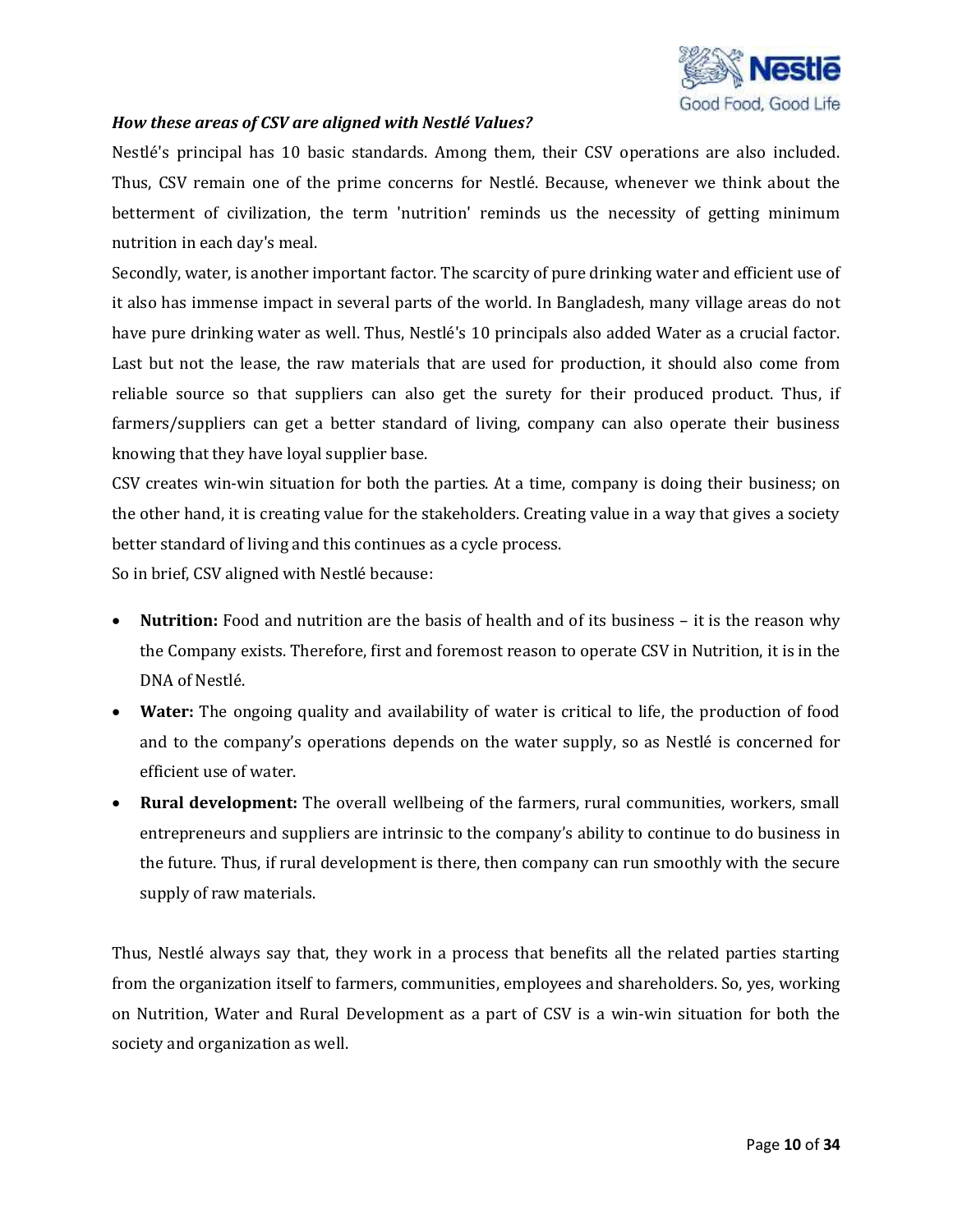

#### *How these areas of CSV are aligned with Nestlé Values?*

Nestlé's principal has 10 basic standards. Among them, their CSV operations are also included. Thus, CSV remain one of the prime concerns for Nestlé. Because, whenever we think about the betterment of civilization, the term 'nutrition' reminds us the necessity of getting minimum nutrition in each day's meal.

Secondly, water, is another important factor. The scarcity of pure drinking water and efficient use of it also has immense impact in several parts of the world. In Bangladesh, many village areas do not have pure drinking water as well. Thus, Nestlé's 10 principals also added Water as a crucial factor. Last but not the lease, the raw materials that are used for production, it should also come from reliable source so that suppliers can also get the surety for their produced product. Thus, if farmers/suppliers can get a better standard of living, company can also operate their business knowing that they have loyal supplier base.

CSV creates win-win situation for both the parties. At a time, company is doing their business; on the other hand, it is creating value for the stakeholders. Creating value in a way that gives a society better standard of living and this continues as a cycle process.

So in brief, CSV aligned with Nestlé because:

- **Nutrition:** Food and nutrition are the basis of health and of its business it is the reason why the Company exists. Therefore, first and foremost reason to operate CSV in Nutrition, it is in the DNA of Nestlé.
- **Water:** The ongoing quality and availability of water is critical to life, the production of food and to the company's operations depends on the water supply, so as Nestlé is concerned for efficient use of water.
- **Rural development:** The overall wellbeing of the farmers, rural communities, workers, small entrepreneurs and suppliers are intrinsic to the company's ability to continue to do business in the future. Thus, if rural development is there, then company can run smoothly with the secure supply of raw materials.

Thus, Nestlé always say that, they work in a process that benefits all the related parties starting from the organization itself to farmers, communities, employees and shareholders. So, yes, working on Nutrition, Water and Rural Development as a part of CSV is a win-win situation for both the society and organization as well.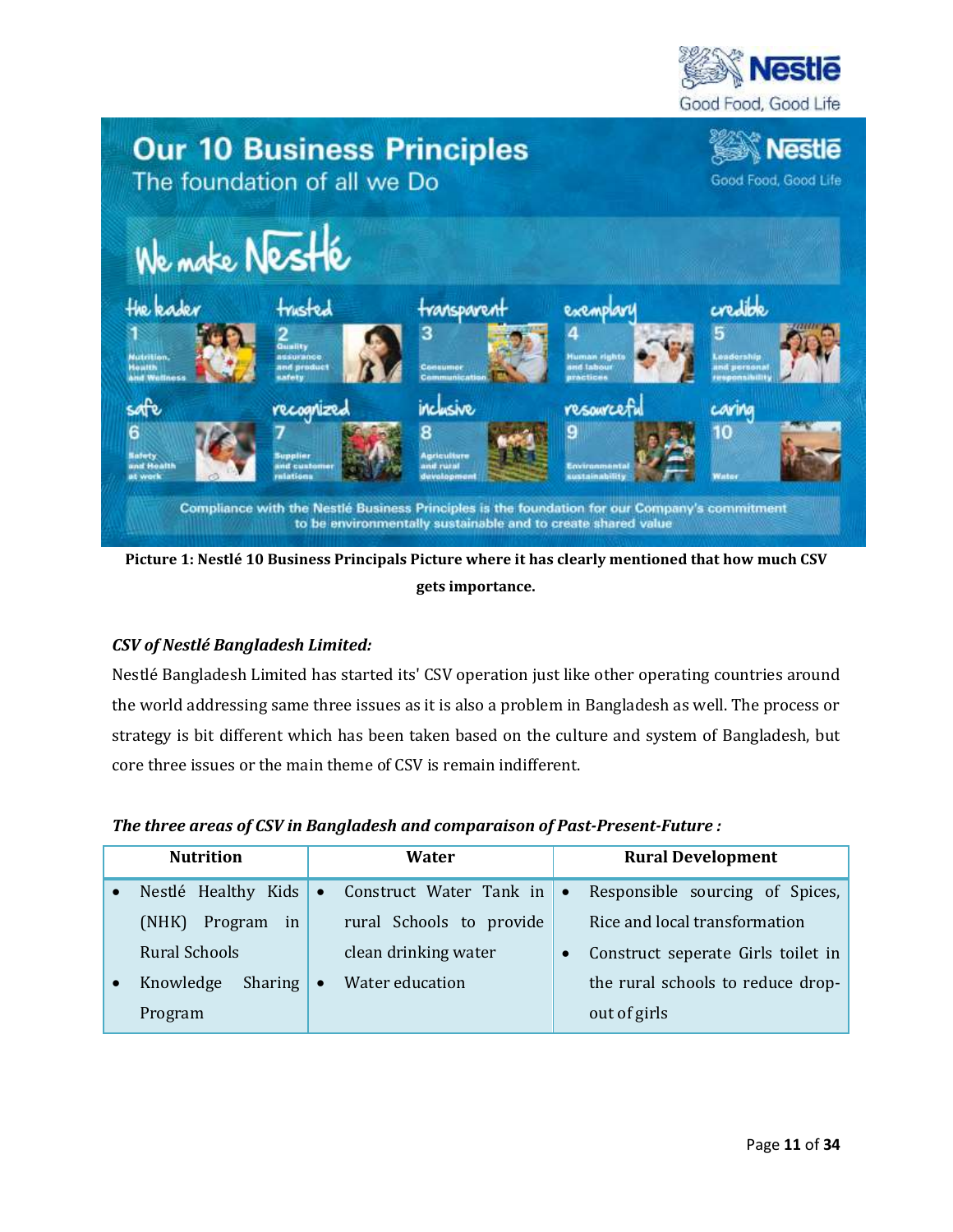



**Picture 1: Nestlé 10 Business Principals Picture where it has clearly mentioned that how much CSV gets importance.**

## *CSV of Nestlé Bangladesh Limited:*

Nestlé Bangladesh Limited has started its' CSV operation just like other operating countries around the world addressing same three issues as it is also a problem in Bangladesh as well. The process or strategy is bit different which has been taken based on the culture and system of Bangladesh, but core three issues or the main theme of CSV is remain indifferent.

| The three areas of CSV in Bangladesh and comparaison of Past-Present-Future : |  |  |
|-------------------------------------------------------------------------------|--|--|
|-------------------------------------------------------------------------------|--|--|

| <b>Nutrition</b>       |           | Water                    |           | <b>Rural Development</b>           |
|------------------------|-----------|--------------------------|-----------|------------------------------------|
| Nestlé Healthy Kids    | $\bullet$ | Construct Water Tank in  | $\bullet$ | Responsible sourcing of Spices,    |
| (NHK)<br>Program<br>in |           | rural Schools to provide |           | Rice and local transformation      |
| Rural Schools          |           | clean drinking water     |           | Construct seperate Girls toilet in |
| Knowledge<br>Sharing   | $\bullet$ | Water education          |           | the rural schools to reduce drop-  |
| Program                |           |                          |           | out of girls                       |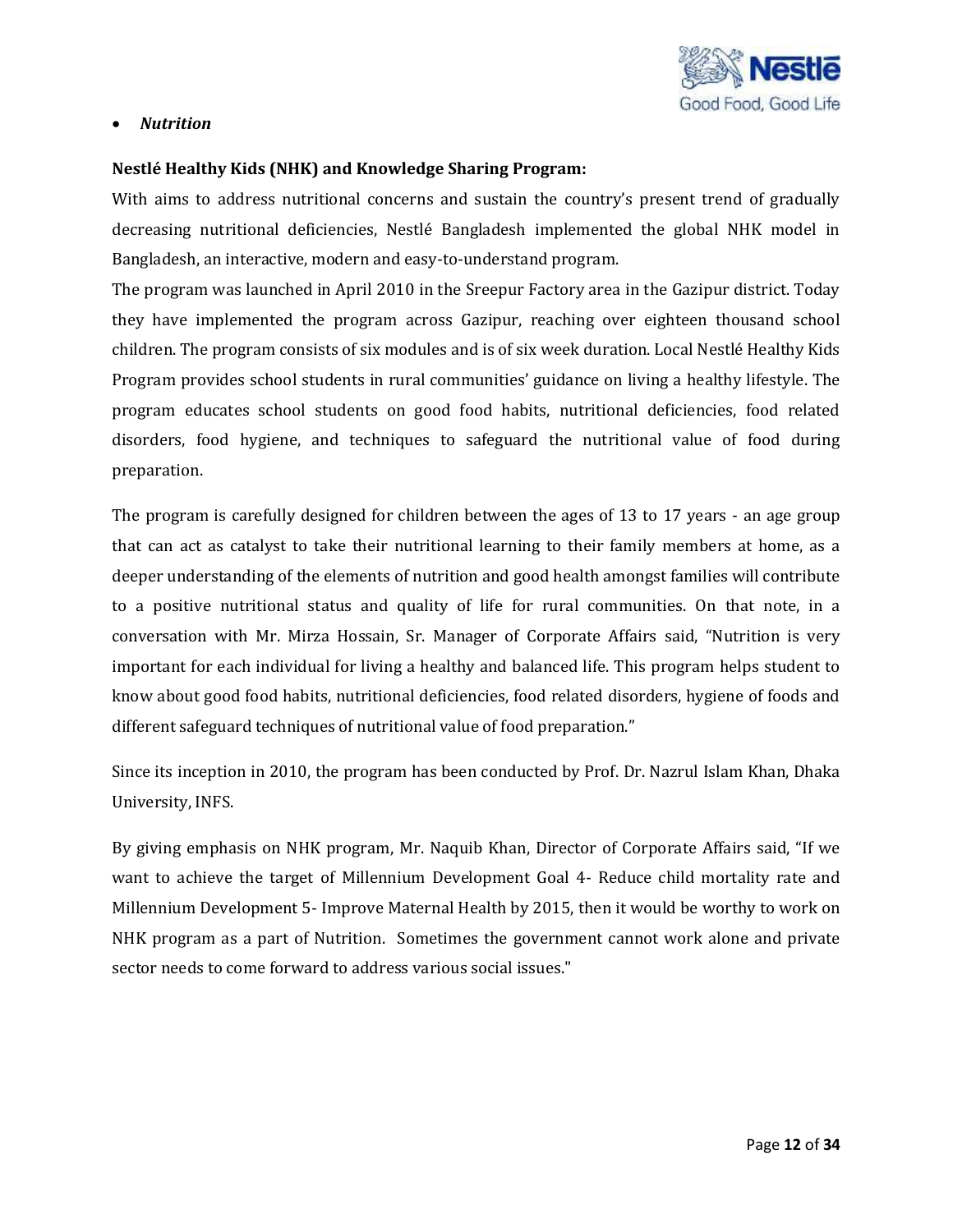

#### *Nutrition*

#### **Nestlé Healthy Kids (NHK) and Knowledge Sharing Program:**

With aims to address nutritional concerns and sustain the country's present trend of gradually decreasing nutritional deficiencies, Nestlé Bangladesh implemented the global NHK model in Bangladesh, an interactive, modern and easy-to-understand program.

The program was launched in April 2010 in the Sreepur Factory area in the Gazipur district. Today they have implemented the program across Gazipur, reaching over eighteen thousand school children. The program consists of six modules and is of six week duration. Local Nestlé Healthy Kids Program provides school students in rural communities' guidance on living a healthy lifestyle. The program educates school students on good food habits, nutritional deficiencies, food related disorders, food hygiene, and techniques to safeguard the nutritional value of food during preparation.

The program is carefully designed for children between the ages of 13 to 17 years - an age group that can act as catalyst to take their nutritional learning to their family members at home, as a deeper understanding of the elements of nutrition and good health amongst families will contribute to a positive nutritional status and quality of life for rural communities. On that note, in a conversation with Mr. Mirza Hossain, Sr. Manager of Corporate Affairs said, "Nutrition is very important for each individual for living a healthy and balanced life. This program helps student to know about good food habits, nutritional deficiencies, food related disorders, hygiene of foods and different safeguard techniques of nutritional value of food preparation."

Since its inception in 2010, the program has been conducted by Prof. Dr. Nazrul Islam Khan, Dhaka University, INFS.

By giving emphasis on NHK program, Mr. Naquib Khan, Director of Corporate Affairs said, "If we want to achieve the target of Millennium Development Goal 4- Reduce child mortality rate and Millennium Development 5- Improve Maternal Health by 2015, then it would be worthy to work on NHK program as a part of Nutrition. Sometimes the government cannot work alone and private sector needs to come forward to address various social issues."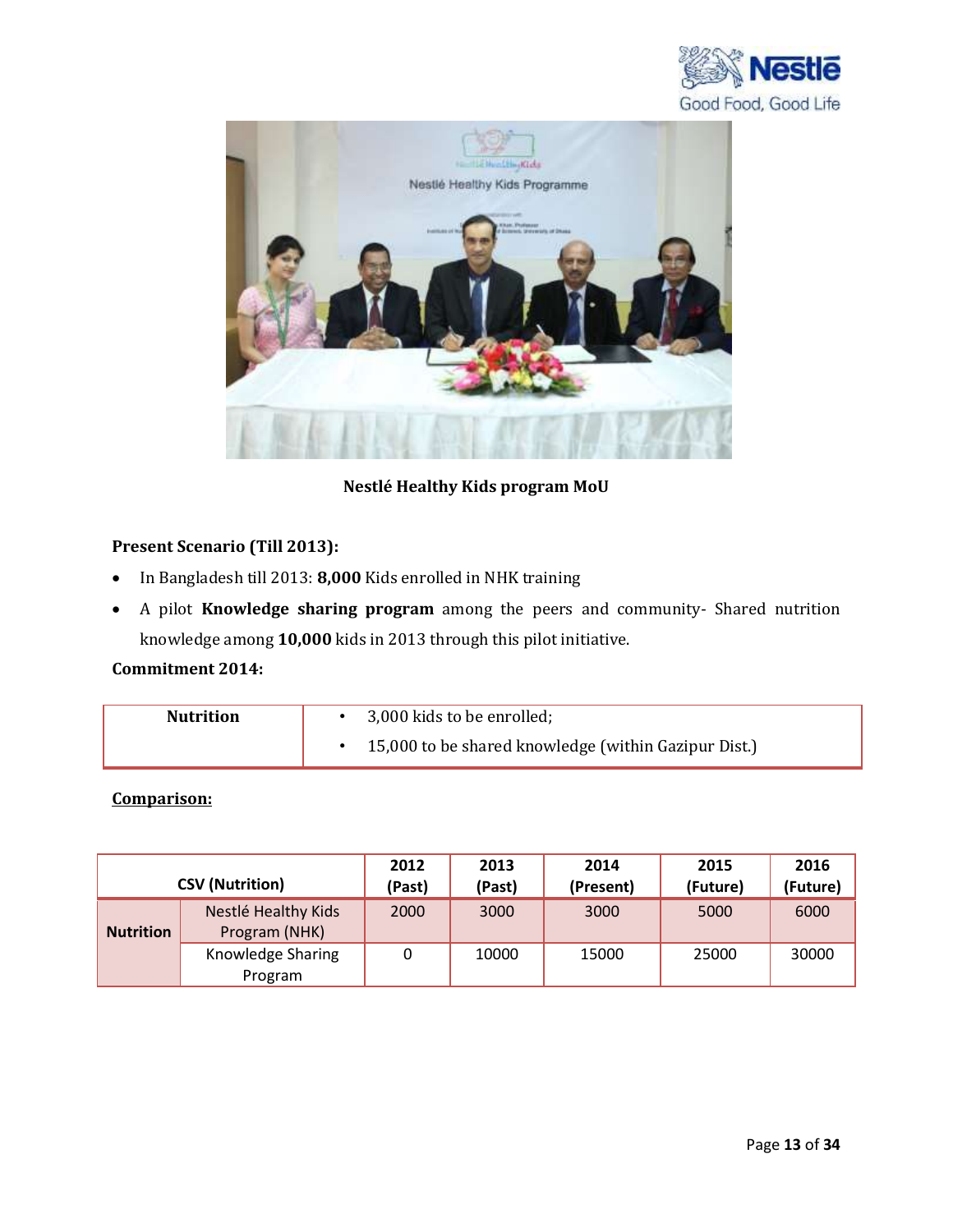



**Nestlé Healthy Kids program MoU**

## **Present Scenario (Till 2013):**

- In Bangladesh till 2013: **8,000** Kids enrolled in NHK training
- A pilot **Knowledge sharing program** among the peers and community- Shared nutrition knowledge among **10,000** kids in 2013 through this pilot initiative.

## **Commitment 2014:**

| <b>Nutrition</b> | 3,000 kids to be enrolled;                           |
|------------------|------------------------------------------------------|
|                  | 15,000 to be shared knowledge (within Gazipur Dist.) |

## **Comparison:**

|                  | <b>CSV (Nutrition)</b>               | 2012<br>(Past) | 2013<br>(Past) | 2014<br>(Present) | 2015<br>(Future) | 2016<br>(Future) |
|------------------|--------------------------------------|----------------|----------------|-------------------|------------------|------------------|
| <b>Nutrition</b> | Nestlé Healthy Kids<br>Program (NHK) | 2000           | 3000           | 3000              | 5000             | 6000             |
|                  | Knowledge Sharing<br>Program         |                | 10000          | 15000             | 25000            | 30000            |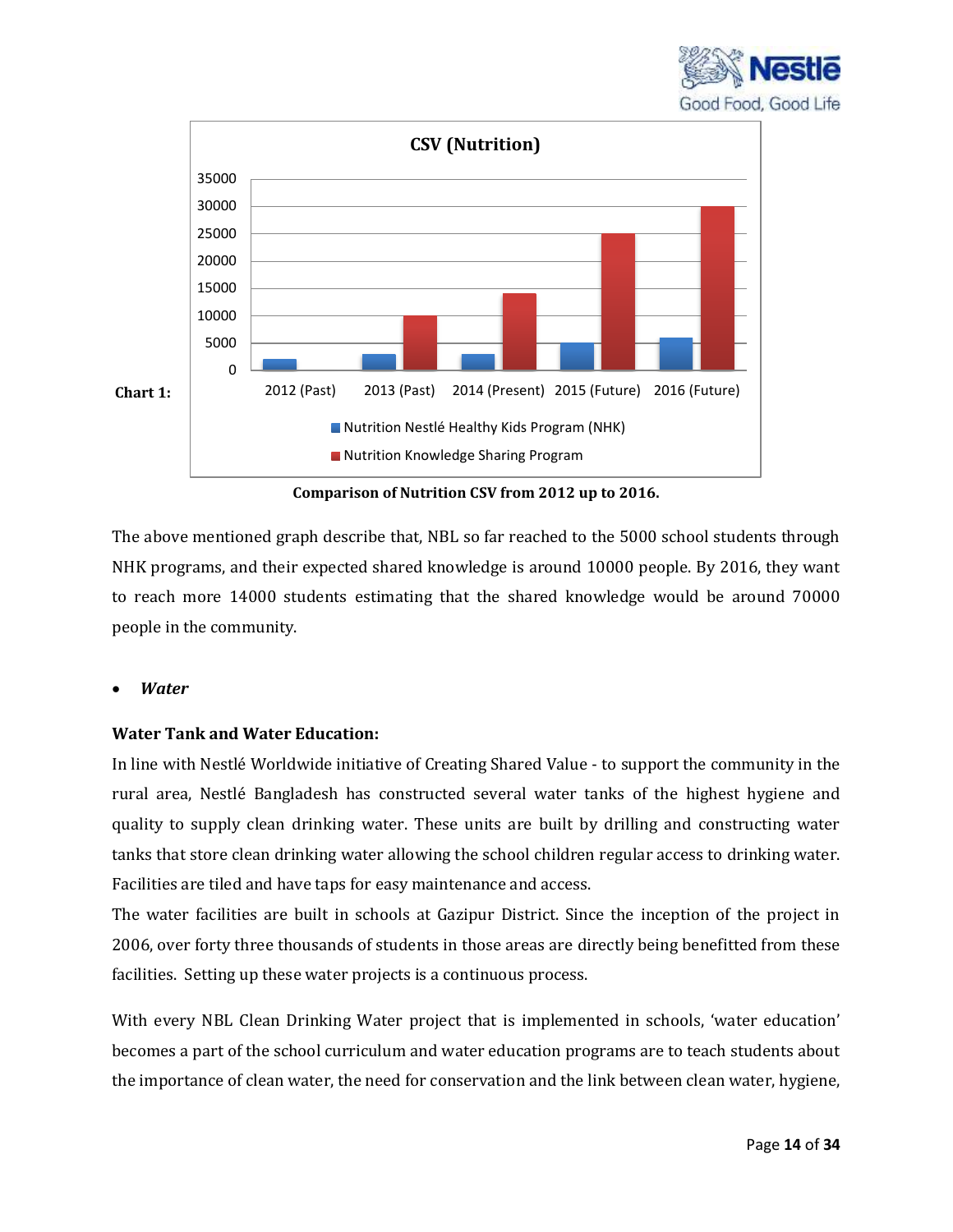



**Comparison of Nutrition CSV from 2012 up to 2016.**

The above mentioned graph describe that, NBL so far reached to the 5000 school students through NHK programs, and their expected shared knowledge is around 10000 people. By 2016, they want to reach more 14000 students estimating that the shared knowledge would be around 70000 people in the community.

### *Water*

### **Water Tank and Water Education:**

In line with Nestlé Worldwide initiative of Creating Shared Value - to support the community in the rural area, Nestlé Bangladesh has constructed several water tanks of the highest hygiene and quality to supply clean drinking water. These units are built by drilling and constructing water tanks that store clean drinking water allowing the school children regular access to drinking water. Facilities are tiled and have taps for easy maintenance and access.

The water facilities are built in schools at Gazipur District. Since the inception of the project in 2006, over forty three thousands of students in those areas are directly being benefitted from these facilities. Setting up these water projects is a continuous process.

With every NBL Clean Drinking Water project that is implemented in schools, 'water education' becomes a part of the school curriculum and water education programs are to teach students about the importance of clean water, the need for conservation and the link between clean water, hygiene,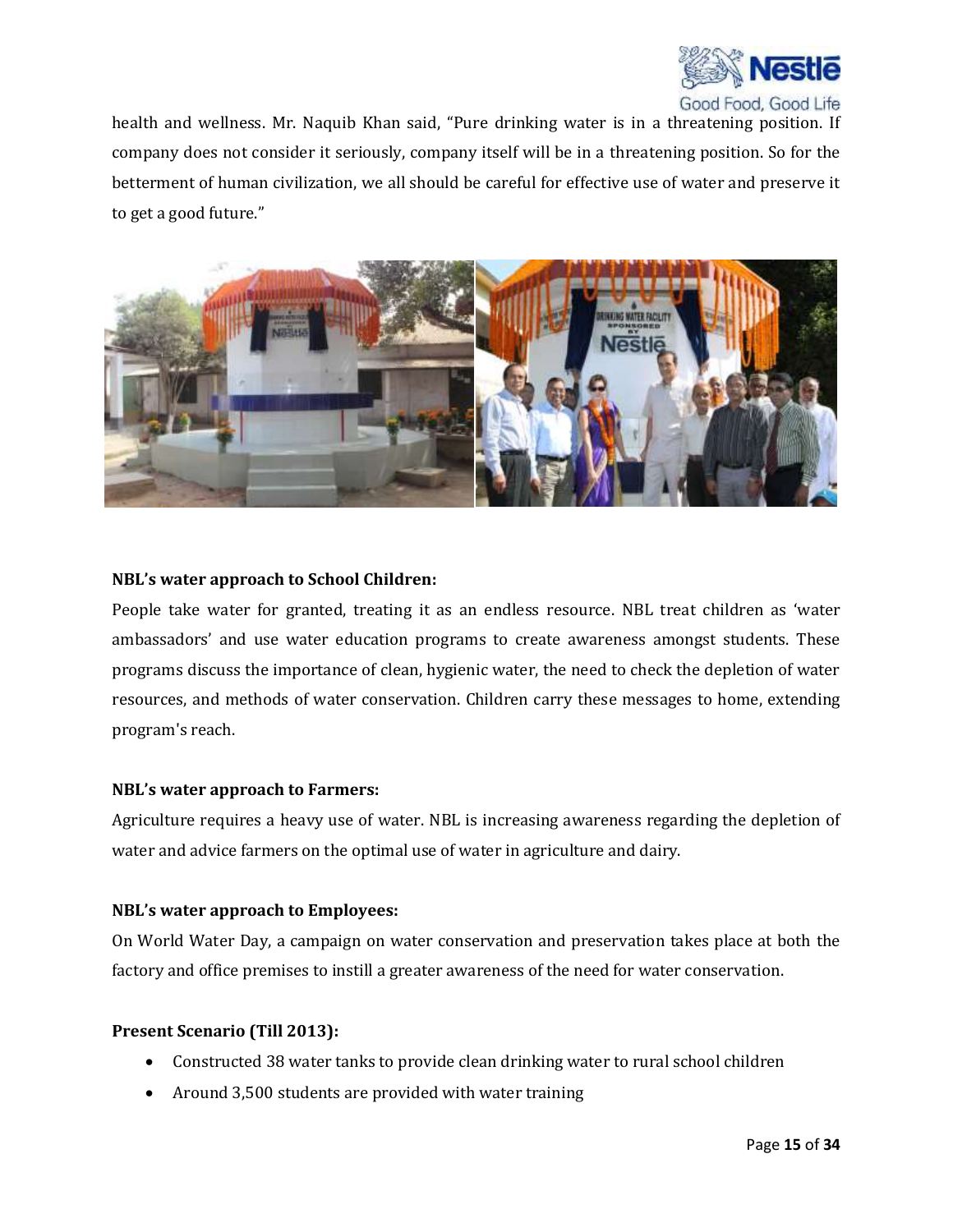

health and wellness. Mr. Naquib Khan said, "Pure drinking water is in a threatening position. If company does not consider it seriously, company itself will be in a threatening position. So for the betterment of human civilization, we all should be careful for effective use of water and preserve it to get a good future."



#### **NBL's water approach to School Children:**

People take water for granted, treating it as an endless resource. NBL treat children as 'water ambassadors' and use water education programs to create awareness amongst students. These programs discuss the importance of clean, hygienic water, the need to check the depletion of water resources, and methods of water conservation. Children carry these messages to home, extending program's reach.

#### **NBL's water approach to Farmers:**

Agriculture requires a heavy use of water. NBL is increasing awareness regarding the depletion of water and advice farmers on the optimal use of water in agriculture and dairy.

#### **NBL's water approach to Employees:**

On World Water Day, a campaign on water conservation and preservation takes place at both the factory and office premises to instill a greater awareness of the need for water conservation.

#### **Present Scenario (Till 2013):**

- Constructed 38 water tanks to provide clean drinking water to rural school children
- Around 3,500 students are provided with water training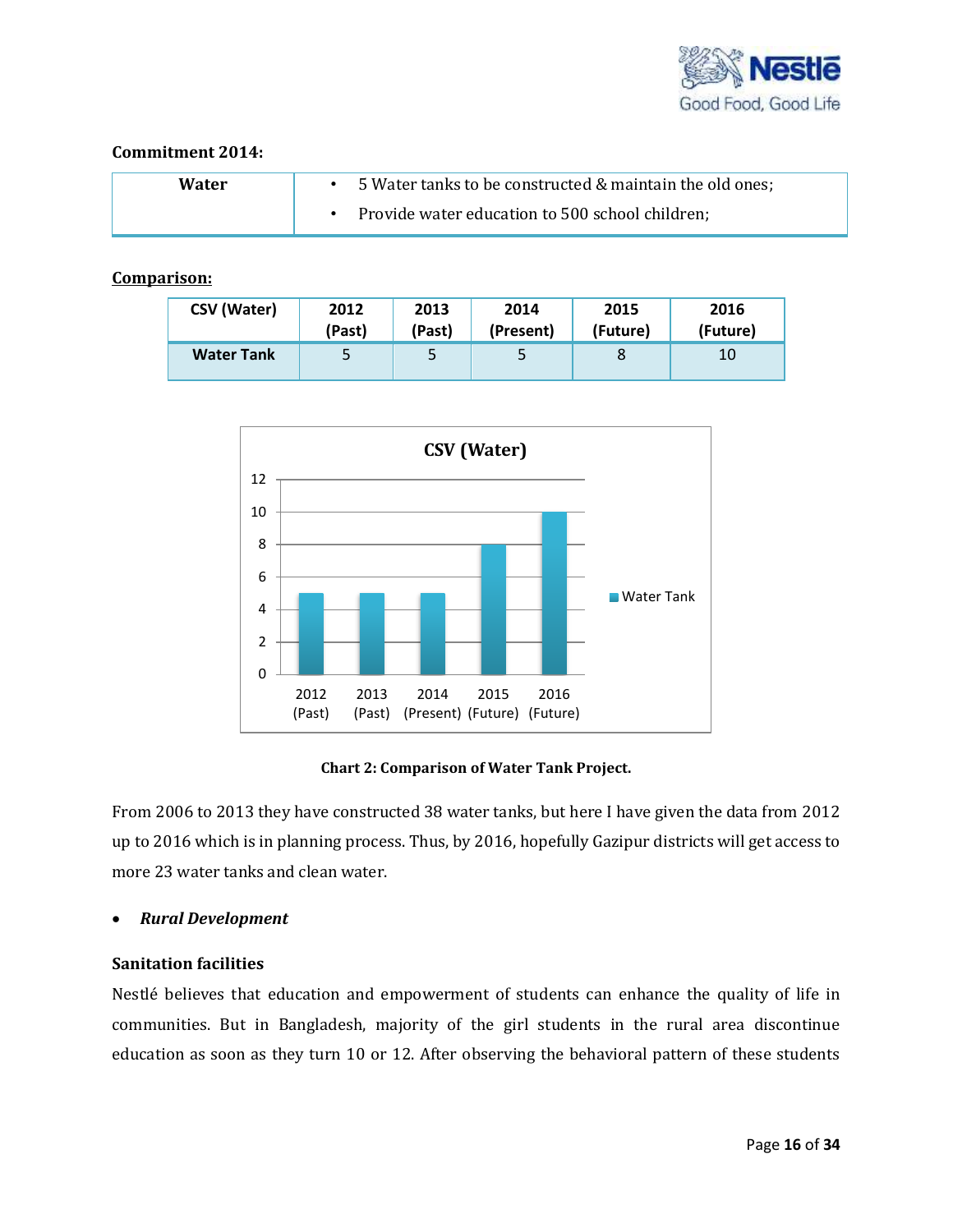

#### **Commitment 2014:**

| Water | 5 Water tanks to be constructed & maintain the old ones; |
|-------|----------------------------------------------------------|
|       | Provide water education to 500 school children;          |

### **Comparison:**

| <b>CSV (Water)</b> | 2012   | 2013   | 2014      | 2015     | 2016     |
|--------------------|--------|--------|-----------|----------|----------|
|                    | (Past) | (Past) | (Present) | (Future) | (Future) |
| <b>Water Tank</b>  | 5      | 5      |           | 8        | 10       |



**Chart 2: Comparison of Water Tank Project.**

From 2006 to 2013 they have constructed 38 water tanks, but here I have given the data from 2012 up to 2016 which is in planning process. Thus, by 2016, hopefully Gazipur districts will get access to more 23 water tanks and clean water.

#### *Rural Development*

#### **Sanitation facilities**

Nestlé believes that education and empowerment of students can enhance the quality of life in communities. But in Bangladesh, majority of the girl students in the rural area discontinue education as soon as they turn 10 or 12. After observing the behavioral pattern of these students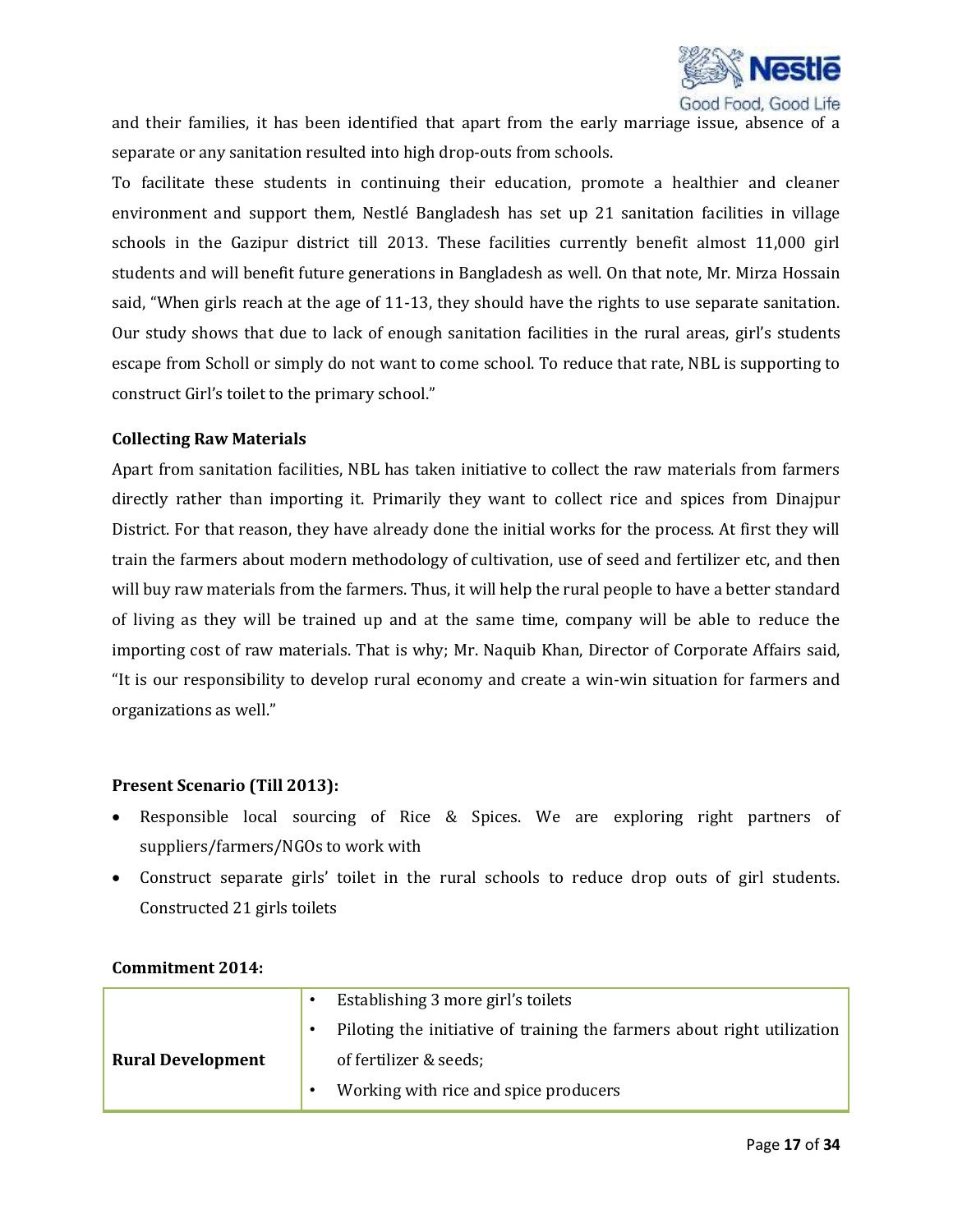

and their families, it has been identified that apart from the early marriage issue, absence of a separate or any sanitation resulted into high drop-outs from schools.

To facilitate these students in continuing their education, promote a healthier and cleaner environment and support them, Nestlé Bangladesh has set up 21 sanitation facilities in village schools in the Gazipur district till 2013. These facilities currently benefit almost 11,000 girl students and will benefit future generations in Bangladesh as well. On that note, Mr. Mirza Hossain said, "When girls reach at the age of 11-13, they should have the rights to use separate sanitation. Our study shows that due to lack of enough sanitation facilities in the rural areas, girl's students escape from Scholl or simply do not want to come school. To reduce that rate, NBL is supporting to construct Girl's toilet to the primary school."

#### **Collecting Raw Materials**

Apart from sanitation facilities, NBL has taken initiative to collect the raw materials from farmers directly rather than importing it. Primarily they want to collect rice and spices from Dinajpur District. For that reason, they have already done the initial works for the process. At first they will train the farmers about modern methodology of cultivation, use of seed and fertilizer etc, and then will buy raw materials from the farmers. Thus, it will help the rural people to have a better standard of living as they will be trained up and at the same time, company will be able to reduce the importing cost of raw materials. That is why; Mr. Naquib Khan, Director of Corporate Affairs said, "It is our responsibility to develop rural economy and create a win-win situation for farmers and organizations as well."

#### **Present Scenario (Till 2013):**

- Responsible local sourcing of Rice & Spices. We are exploring right partners of suppliers/farmers/NGOs to work with
- Construct separate girls' toilet in the rural schools to reduce drop outs of girl students. Constructed 21 girls toilets

|                          | Establishing 3 more girl's toilets                                      |
|--------------------------|-------------------------------------------------------------------------|
|                          | Piloting the initiative of training the farmers about right utilization |
| <b>Rural Development</b> | of fertilizer & seeds;                                                  |
|                          | Working with rice and spice producers                                   |

#### **Commitment 2014:**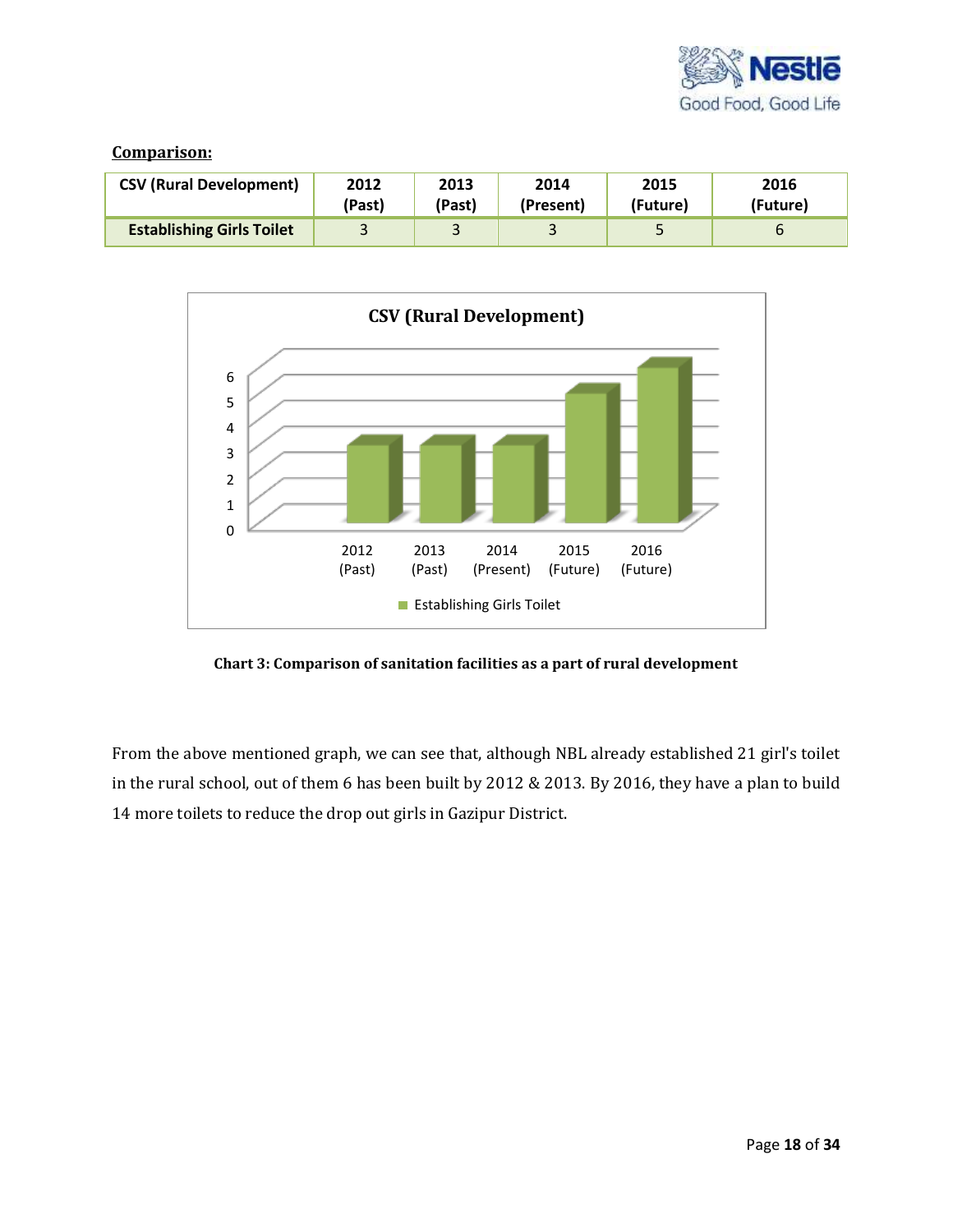

#### **Comparison:**

| <b>CSV (Rural Development)</b>   | 2012   | 2013   | 2014      | 2015     | 2016     |
|----------------------------------|--------|--------|-----------|----------|----------|
|                                  | (Past) | (Past) | (Present) | (Future) | (Future) |
| <b>Establishing Girls Toilet</b> |        |        |           |          | ь        |



**Chart 3: Comparison of sanitation facilities as a part of rural development**

From the above mentioned graph, we can see that, although NBL already established 21 girl's toilet in the rural school, out of them 6 has been built by 2012 & 2013. By 2016, they have a plan to build 14 more toilets to reduce the drop out girls in Gazipur District.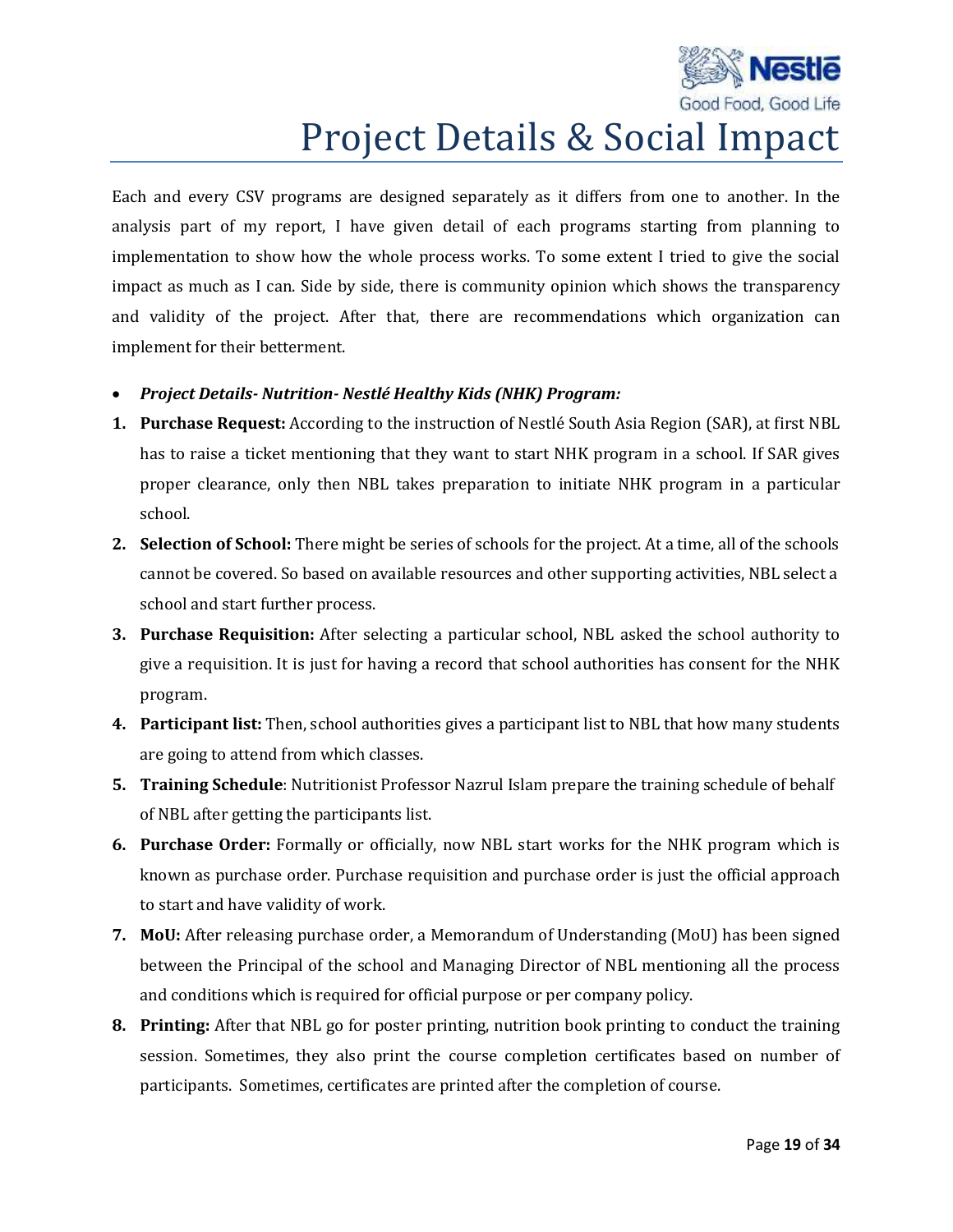

## Project Details & Social Impact

Each and every CSV programs are designed separately as it differs from one to another. In the analysis part of my report, I have given detail of each programs starting from planning to implementation to show how the whole process works. To some extent I tried to give the social impact as much as I can. Side by side, there is community opinion which shows the transparency and validity of the project. After that, there are recommendations which organization can implement for their betterment.

- *Project Details- Nutrition- Nestlé Healthy Kids (NHK) Program:*
- **1. Purchase Request:** According to the instruction of Nestlé South Asia Region (SAR), at first NBL has to raise a ticket mentioning that they want to start NHK program in a school. If SAR gives proper clearance, only then NBL takes preparation to initiate NHK program in a particular school.
- **2. Selection of School:** There might be series of schools for the project. At a time, all of the schools cannot be covered. So based on available resources and other supporting activities, NBL select a school and start further process.
- **3. Purchase Requisition:** After selecting a particular school, NBL asked the school authority to give a requisition. It is just for having a record that school authorities has consent for the NHK program.
- **4. Participant list:** Then, school authorities gives a participant list to NBL that how many students are going to attend from which classes.
- **5. Training Schedule**: Nutritionist Professor Nazrul Islam prepare the training schedule of behalf of NBL after getting the participants list.
- **6. Purchase Order:** Formally or officially, now NBL start works for the NHK program which is known as purchase order. Purchase requisition and purchase order is just the official approach to start and have validity of work.
- **7. MoU:** After releasing purchase order, a Memorandum of Understanding (MoU) has been signed between the Principal of the school and Managing Director of NBL mentioning all the process and conditions which is required for official purpose or per company policy.
- **8. Printing:** After that NBL go for poster printing, nutrition book printing to conduct the training session. Sometimes, they also print the course completion certificates based on number of participants. Sometimes, certificates are printed after the completion of course.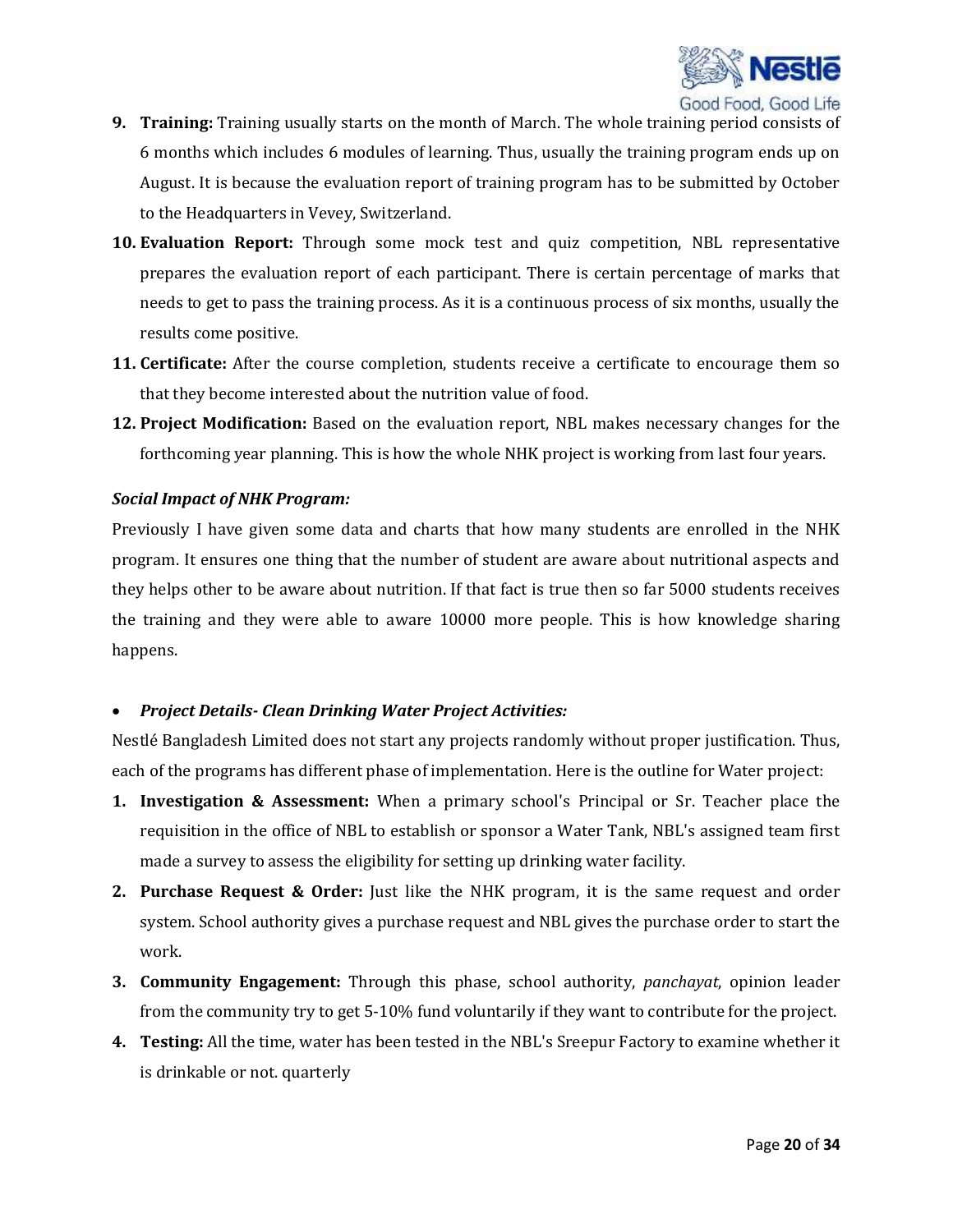

- **9. Training:** Training usually starts on the month of March. The whole training period consists of 6 months which includes 6 modules of learning. Thus, usually the training program ends up on August. It is because the evaluation report of training program has to be submitted by October to the Headquarters in Vevey, Switzerland.
- **10. Evaluation Report:** Through some mock test and quiz competition, NBL representative prepares the evaluation report of each participant. There is certain percentage of marks that needs to get to pass the training process. As it is a continuous process of six months, usually the results come positive.
- **11. Certificate:** After the course completion, students receive a certificate to encourage them so that they become interested about the nutrition value of food.
- **12. Project Modification:** Based on the evaluation report, NBL makes necessary changes for the forthcoming year planning. This is how the whole NHK project is working from last four years.

#### *Social Impact of NHK Program:*

Previously I have given some data and charts that how many students are enrolled in the NHK program. It ensures one thing that the number of student are aware about nutritional aspects and they helps other to be aware about nutrition. If that fact is true then so far 5000 students receives the training and they were able to aware 10000 more people. This is how knowledge sharing happens.

#### *Project Details- Clean Drinking Water Project Activities:*

Nestlé Bangladesh Limited does not start any projects randomly without proper justification. Thus, each of the programs has different phase of implementation. Here is the outline for Water project:

- **1. Investigation & Assessment:** When a primary school's Principal or Sr. Teacher place the requisition in the office of NBL to establish or sponsor a Water Tank, NBL's assigned team first made a survey to assess the eligibility for setting up drinking water facility.
- **2. Purchase Request & Order:** Just like the NHK program, it is the same request and order system. School authority gives a purchase request and NBL gives the purchase order to start the work.
- **3. Community Engagement:** Through this phase, school authority, *panchayat*, opinion leader from the community try to get 5-10% fund voluntarily if they want to contribute for the project.
- **4. Testing:** All the time, water has been tested in the NBL's Sreepur Factory to examine whether it is drinkable or not. quarterly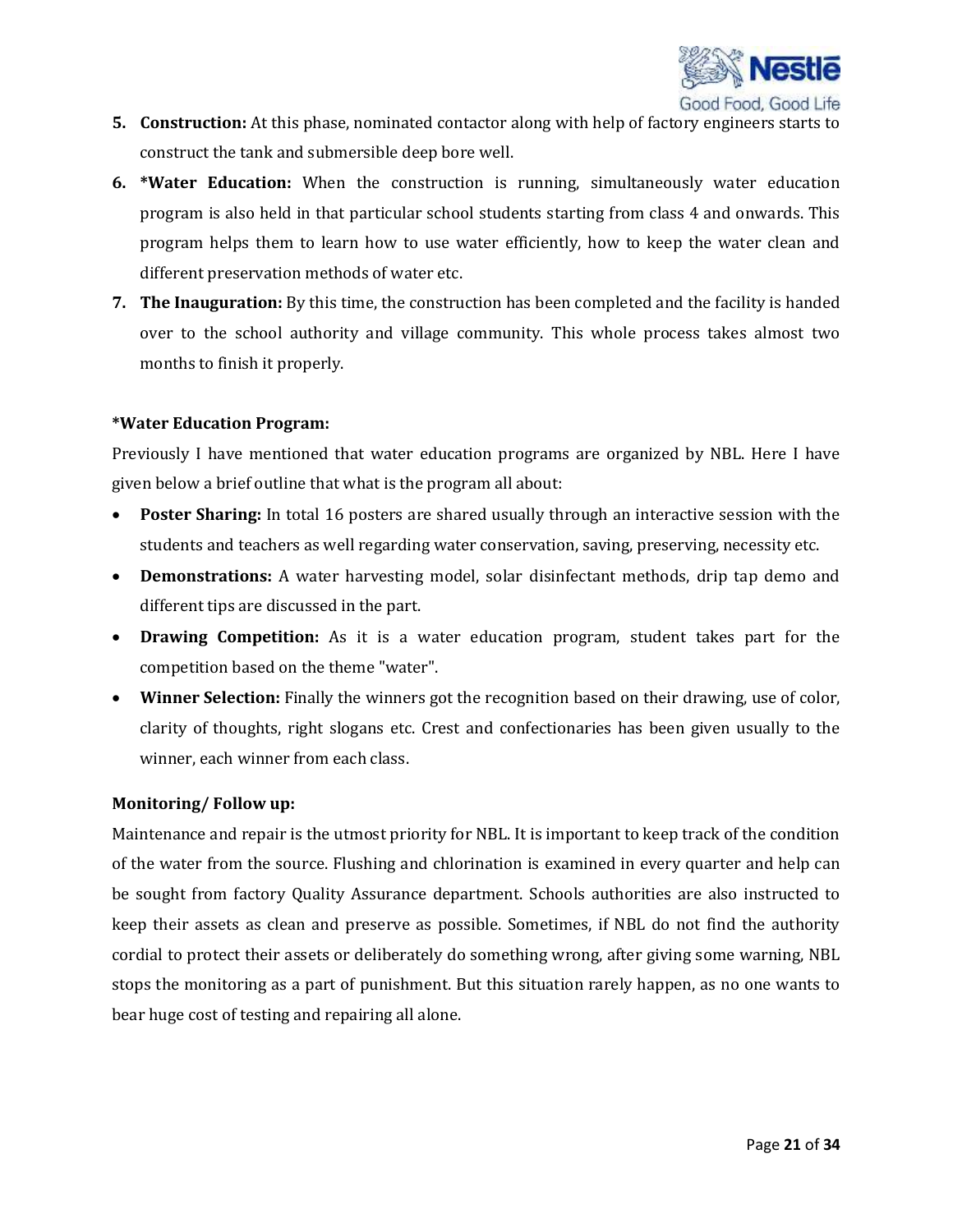

- **5. Construction:** At this phase, nominated contactor along with help of factory engineers starts to construct the tank and submersible deep bore well.
- **6. \*Water Education:** When the construction is running, simultaneously water education program is also held in that particular school students starting from class 4 and onwards. This program helps them to learn how to use water efficiently, how to keep the water clean and different preservation methods of water etc.
- **7. The Inauguration:** By this time, the construction has been completed and the facility is handed over to the school authority and village community. This whole process takes almost two months to finish it properly.

#### **\*Water Education Program:**

Previously I have mentioned that water education programs are organized by NBL. Here I have given below a brief outline that what is the program all about:

- **Poster Sharing:** In total 16 posters are shared usually through an interactive session with the students and teachers as well regarding water conservation, saving, preserving, necessity etc.
- **Demonstrations:** A water harvesting model, solar disinfectant methods, drip tap demo and different tips are discussed in the part.
- **Drawing Competition:** As it is a water education program, student takes part for the competition based on the theme "water".
- **Winner Selection:** Finally the winners got the recognition based on their drawing, use of color, clarity of thoughts, right slogans etc. Crest and confectionaries has been given usually to the winner, each winner from each class.

#### **Monitoring/ Follow up:**

Maintenance and repair is the utmost priority for NBL. It is important to keep track of the condition of the water from the source. Flushing and chlorination is examined in every quarter and help can be sought from factory Quality Assurance department. Schools authorities are also instructed to keep their assets as clean and preserve as possible. Sometimes, if NBL do not find the authority cordial to protect their assets or deliberately do something wrong, after giving some warning, NBL stops the monitoring as a part of punishment. But this situation rarely happen, as no one wants to bear huge cost of testing and repairing all alone.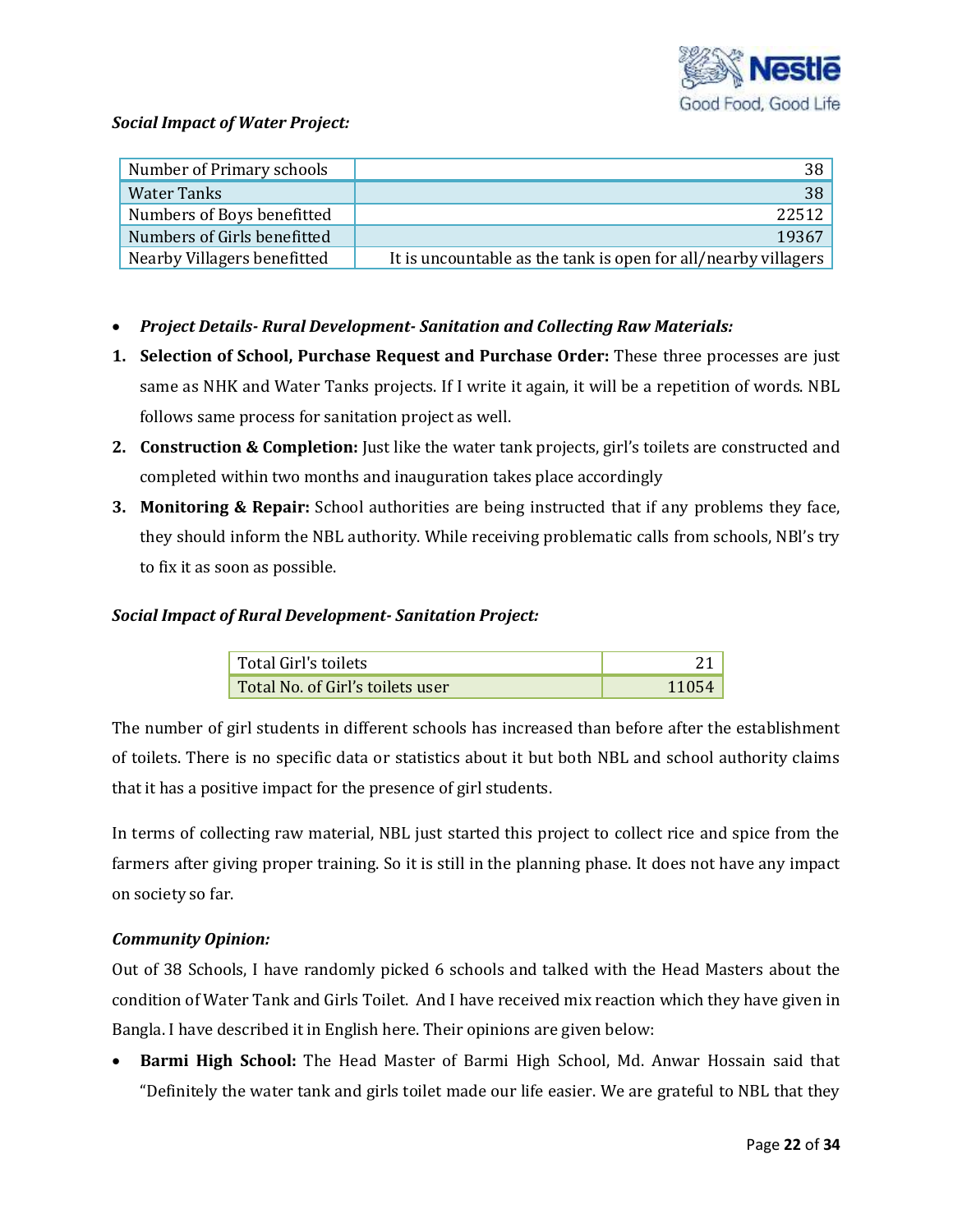

#### *Social Impact of Water Project:*

| Number of Primary schools   | 38                                                             |
|-----------------------------|----------------------------------------------------------------|
| Water Tanks                 | 38                                                             |
| Numbers of Boys benefitted  | 22512                                                          |
| Numbers of Girls benefitted | 19367                                                          |
| Nearby Villagers benefitted | It is uncountable as the tank is open for all/nearby villagers |

- *Project Details- Rural Development- Sanitation and Collecting Raw Materials:*
- **1. Selection of School, Purchase Request and Purchase Order:** These three processes are just same as NHK and Water Tanks projects. If I write it again, it will be a repetition of words. NBL follows same process for sanitation project as well.
- **2. Construction & Completion:** Just like the water tank projects, girl's toilets are constructed and completed within two months and inauguration takes place accordingly
- **3. Monitoring & Repair:** School authorities are being instructed that if any problems they face, they should inform the NBL authority. While receiving problematic calls from schools, NBl's try to fix it as soon as possible.

#### *Social Impact of Rural Development- Sanitation Project:*

| Total Girl's toilets             |  |
|----------------------------------|--|
| Total No. of Girl's toilets user |  |

The number of girl students in different schools has increased than before after the establishment of toilets. There is no specific data or statistics about it but both NBL and school authority claims that it has a positive impact for the presence of girl students.

In terms of collecting raw material, NBL just started this project to collect rice and spice from the farmers after giving proper training. So it is still in the planning phase. It does not have any impact on society so far.

### *Community Opinion:*

Out of 38 Schools, I have randomly picked 6 schools and talked with the Head Masters about the condition of Water Tank and Girls Toilet. And I have received mix reaction which they have given in Bangla. I have described it in English here. Their opinions are given below:

 **Barmi High School:** The Head Master of Barmi High School, Md. Anwar Hossain said that "Definitely the water tank and girls toilet made our life easier. We are grateful to NBL that they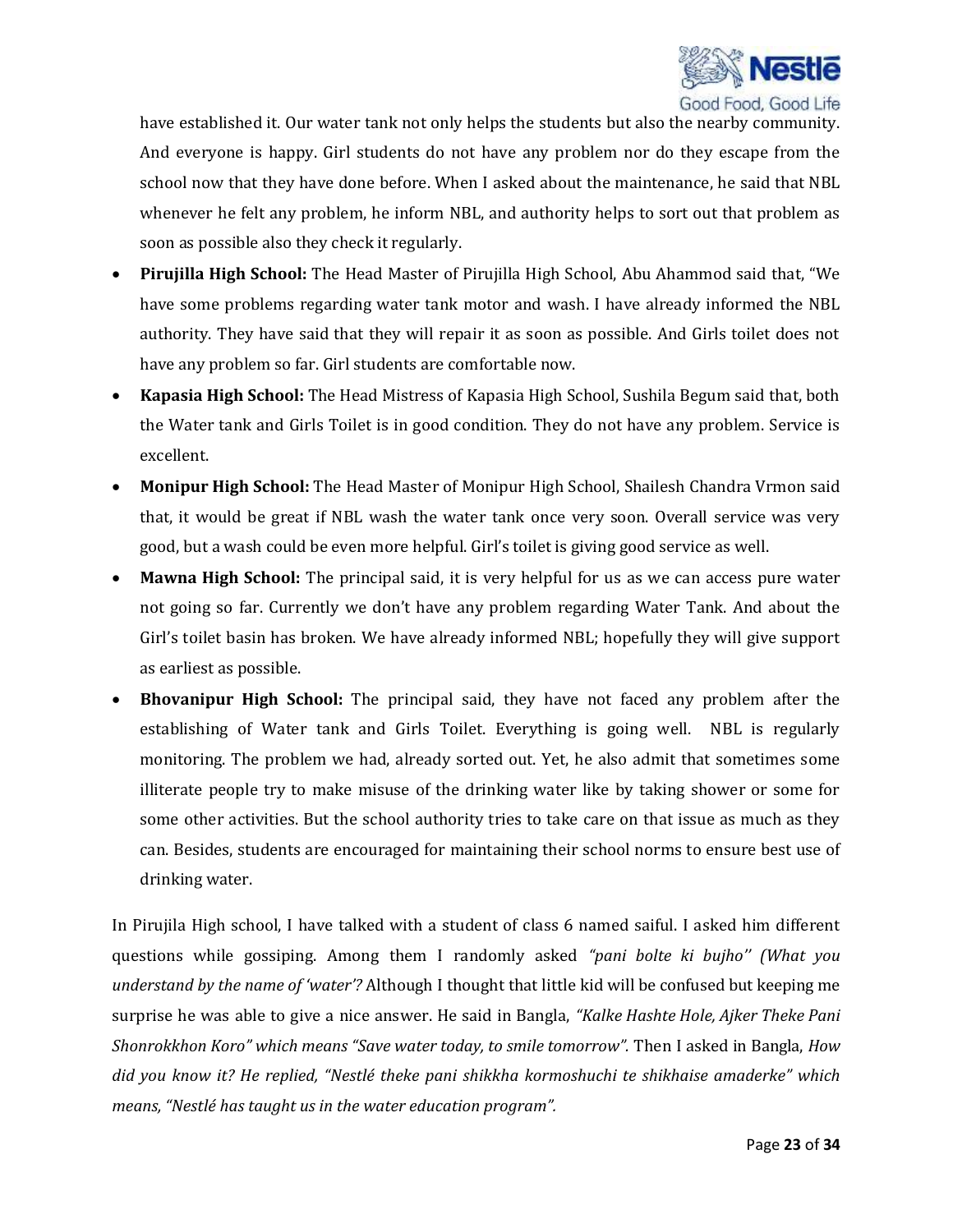

have established it. Our water tank not only helps the students but also the nearby community. And everyone is happy. Girl students do not have any problem nor do they escape from the school now that they have done before. When I asked about the maintenance, he said that NBL whenever he felt any problem, he inform NBL, and authority helps to sort out that problem as soon as possible also they check it regularly.

- **Pirujilla High School:** The Head Master of Pirujilla High School, Abu Ahammod said that, "We have some problems regarding water tank motor and wash. I have already informed the NBL authority. They have said that they will repair it as soon as possible. And Girls toilet does not have any problem so far. Girl students are comfortable now.
- **Kapasia High School:** The Head Mistress of Kapasia High School, Sushila Begum said that, both the Water tank and Girls Toilet is in good condition. They do not have any problem. Service is excellent.
- **Monipur High School:** The Head Master of Monipur High School, Shailesh Chandra Vrmon said that, it would be great if NBL wash the water tank once very soon. Overall service was very good, but a wash could be even more helpful. Girl's toilet is giving good service as well.
- **Mawna High School:** The principal said, it is very helpful for us as we can access pure water not going so far. Currently we don't have any problem regarding Water Tank. And about the Girl's toilet basin has broken. We have already informed NBL; hopefully they will give support as earliest as possible.
- **Bhovanipur High School:** The principal said, they have not faced any problem after the establishing of Water tank and Girls Toilet. Everything is going well. NBL is regularly monitoring. The problem we had, already sorted out. Yet, he also admit that sometimes some illiterate people try to make misuse of the drinking water like by taking shower or some for some other activities. But the school authority tries to take care on that issue as much as they can. Besides, students are encouraged for maintaining their school norms to ensure best use of drinking water.

In Pirujila High school, I have talked with a student of class 6 named saiful. I asked him different questions while gossiping. Among them I randomly asked *"pani bolte ki bujho'' (What you understand by the name of 'water'?* Although I thought that little kid will be confused but keeping me surprise he was able to give a nice answer. He said in Bangla, *"Kalke Hashte Hole, Ajker Theke Pani Shonrokkhon Koro" which means "Save water today, to smile tomorrow".* Then I asked in Bangla, *How did you know it? He replied, "Nestlé theke pani shikkha kormoshuchi te shikhaise amaderke" which means, "Nestlé has taught us in the water education program".*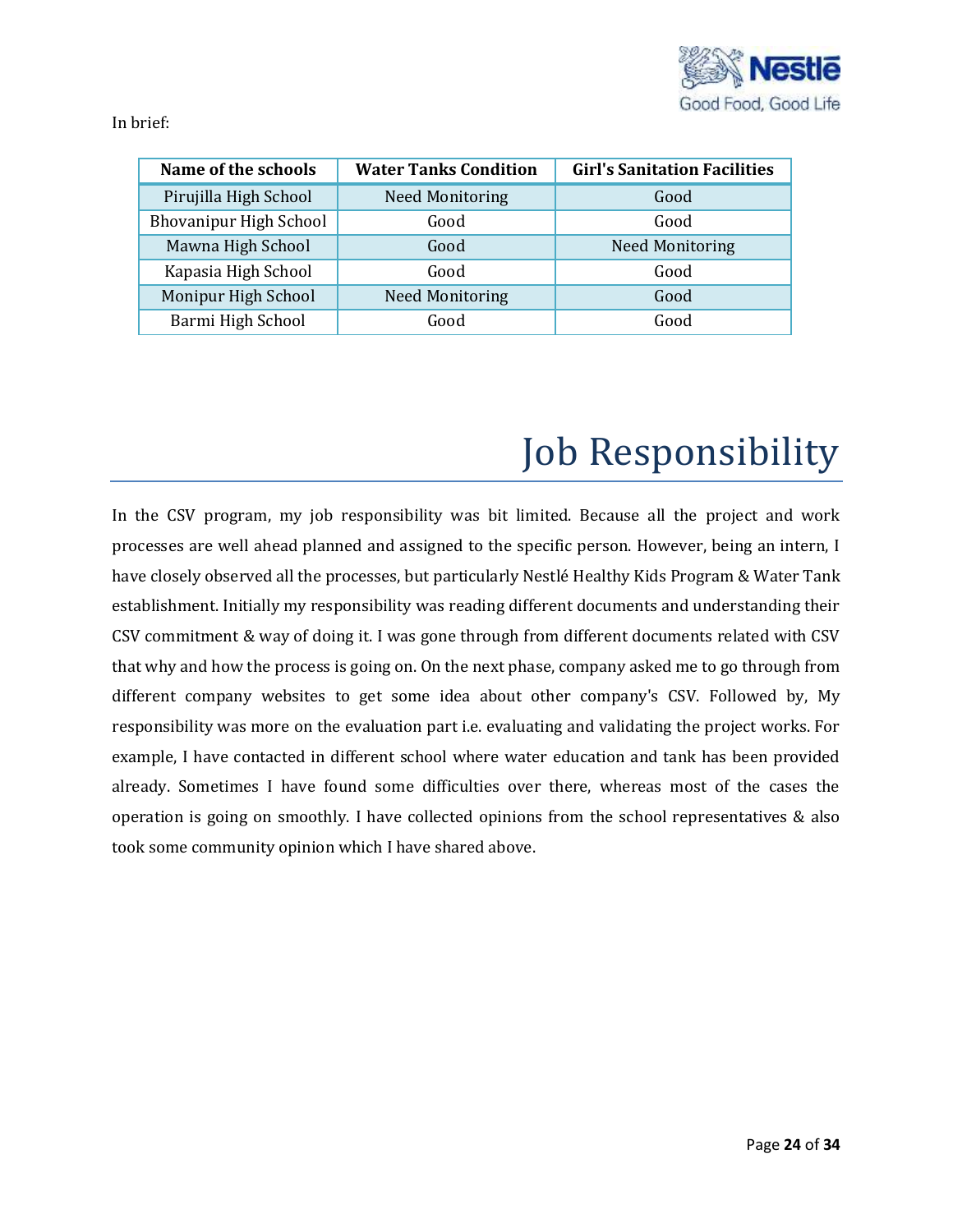

In brief:

| Name of the schools           | <b>Water Tanks Condition</b> | <b>Girl's Sanitation Facilities</b> |  |
|-------------------------------|------------------------------|-------------------------------------|--|
| Pirujilla High School         | <b>Need Monitoring</b>       | Good                                |  |
| <b>Bhovanipur High School</b> | Good                         | Good                                |  |
| Mawna High School             | Good                         | <b>Need Monitoring</b>              |  |
| Kapasia High School           | Good                         | Good                                |  |
| Monipur High School           | <b>Need Monitoring</b>       | Good                                |  |
| Barmi High School             | Good                         | Good                                |  |

# Job Responsibility

In the CSV program, my job responsibility was bit limited. Because all the project and work processes are well ahead planned and assigned to the specific person. However, being an intern, I have closely observed all the processes, but particularly Nestlé Healthy Kids Program & Water Tank establishment. Initially my responsibility was reading different documents and understanding their CSV commitment & way of doing it. I was gone through from different documents related with CSV that why and how the process is going on. On the next phase, company asked me to go through from different company websites to get some idea about other company's CSV. Followed by, My responsibility was more on the evaluation part i.e. evaluating and validating the project works. For example, I have contacted in different school where water education and tank has been provided already. Sometimes I have found some difficulties over there, whereas most of the cases the operation is going on smoothly. I have collected opinions from the school representatives & also took some community opinion which I have shared above.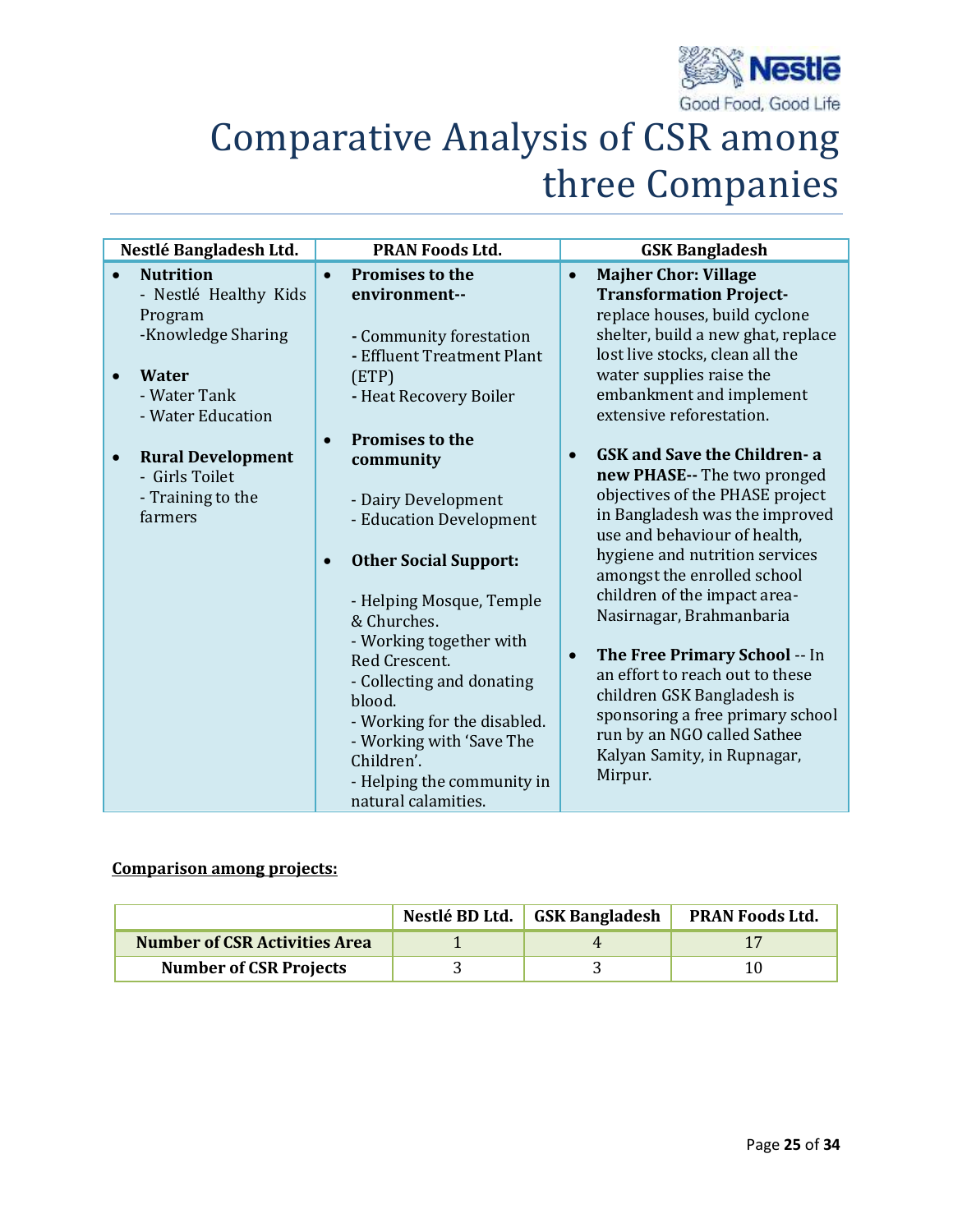

## Comparative Analysis of CSR among three Companies

| Nestlé Bangladesh Ltd.                                  | <b>PRAN Foods Ltd.</b>                                                                                                                                                  | <b>GSK Bangladesh</b>                                                                                                                                                                                                                     |
|---------------------------------------------------------|-------------------------------------------------------------------------------------------------------------------------------------------------------------------------|-------------------------------------------------------------------------------------------------------------------------------------------------------------------------------------------------------------------------------------------|
| <b>Nutrition</b>                                        | <b>Promises to the</b><br>$\bullet$                                                                                                                                     | <b>Majher Chor: Village</b><br>$\bullet$                                                                                                                                                                                                  |
| - Nestlé Healthy Kids<br>Program<br>-Knowledge Sharing  | environment--<br>- Community forestation<br>- Effluent Treatment Plant                                                                                                  | <b>Transformation Project-</b><br>replace houses, build cyclone<br>shelter, build a new ghat, replace<br>lost live stocks, clean all the                                                                                                  |
| <b>Water</b><br>- Water Tank<br>- Water Education       | (ETP)<br>- Heat Recovery Boiler                                                                                                                                         | water supplies raise the<br>embankment and implement<br>extensive reforestation.                                                                                                                                                          |
| <b>Rural Development</b><br>$\bullet$<br>- Girls Toilet | <b>Promises to the</b><br>$\bullet$<br>community                                                                                                                        | <b>GSK and Save the Children-a</b><br>$\bullet$<br>new PHASE-- The two pronged                                                                                                                                                            |
| - Training to the<br>farmers                            | - Dairy Development<br>- Education Development                                                                                                                          | objectives of the PHASE project<br>in Bangladesh was the improved<br>use and behaviour of health,                                                                                                                                         |
|                                                         | <b>Other Social Support:</b><br>$\bullet$<br>- Helping Mosque, Temple                                                                                                   | hygiene and nutrition services<br>amongst the enrolled school<br>children of the impact area-                                                                                                                                             |
|                                                         | & Churches.<br>- Working together with<br>Red Crescent.<br>- Collecting and donating<br>blood.<br>- Working for the disabled.<br>- Working with 'Save The<br>Children'. | Nasirnagar, Brahmanbaria<br>The Free Primary School -- In<br>$\bullet$<br>an effort to reach out to these<br>children GSK Bangladesh is<br>sponsoring a free primary school<br>run by an NGO called Sathee<br>Kalyan Samity, in Rupnagar, |
|                                                         | - Helping the community in<br>natural calamities.                                                                                                                       | Mirpur.                                                                                                                                                                                                                                   |

## **Comparison among projects:**

|                                      | Nestlé BD Ltd. GSK Bangladesh | <b>PRAN Foods Ltd.</b> |
|--------------------------------------|-------------------------------|------------------------|
| <b>Number of CSR Activities Area</b> |                               |                        |
| <b>Number of CSR Projects</b>        |                               |                        |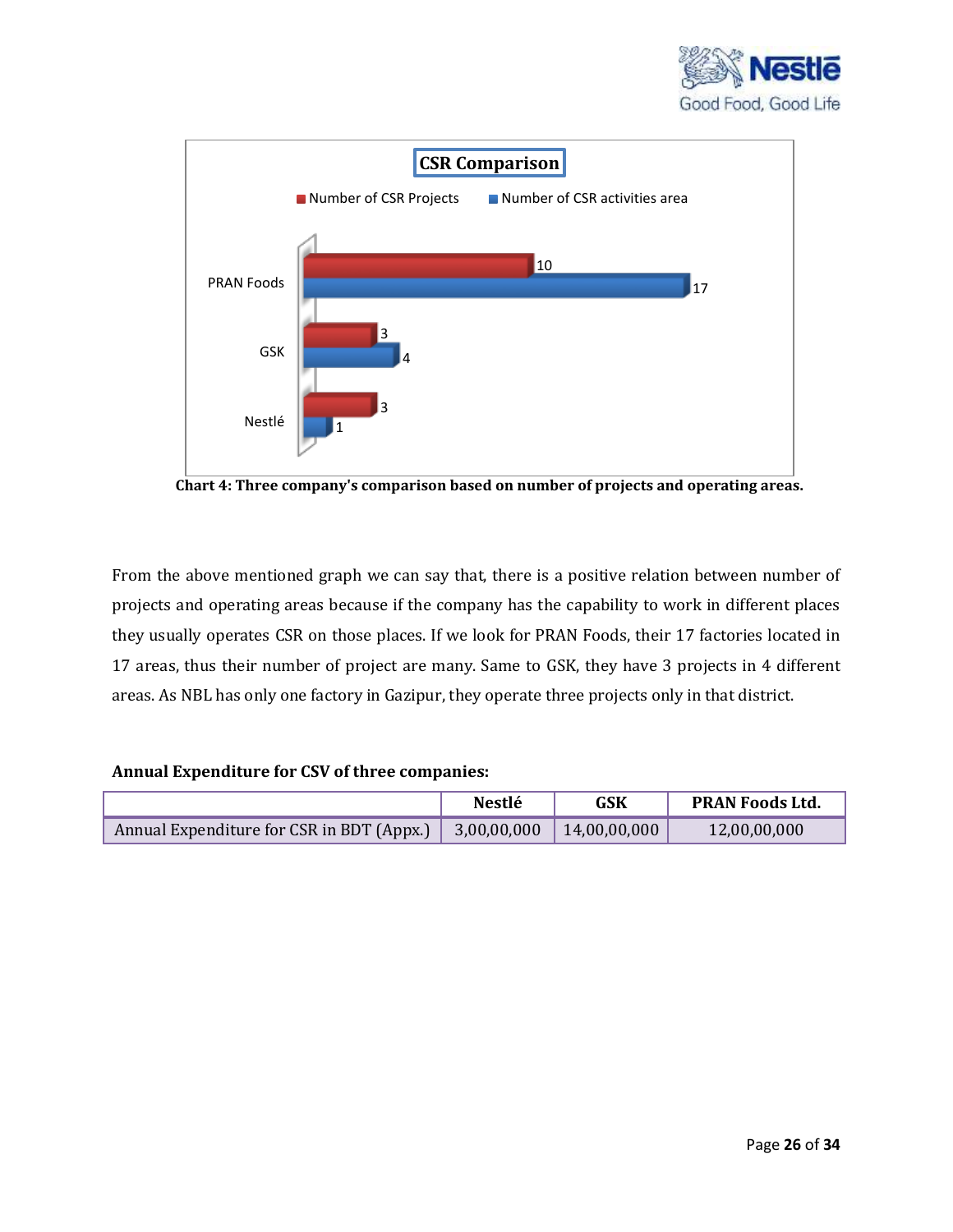



 **Chart 4: Three company's comparison based on number of projects and operating areas.**

From the above mentioned graph we can say that, there is a positive relation between number of projects and operating areas because if the company has the capability to work in different places they usually operates CSR on those places. If we look for PRAN Foods, their 17 factories located in 17 areas, thus their number of project are many. Same to GSK, they have 3 projects in 4 different areas. As NBL has only one factory in Gazipur, they operate three projects only in that district.

#### **Annual Expenditure for CSV of three companies:**

|                                           | <b>Nestlé</b> | GSK          | <b>PRAN Foods Ltd.</b> |
|-------------------------------------------|---------------|--------------|------------------------|
| Annual Expenditure for CSR in BDT (Appx.) | 3,00,00,000   | 14,00,00,000 | 12,00,00,000           |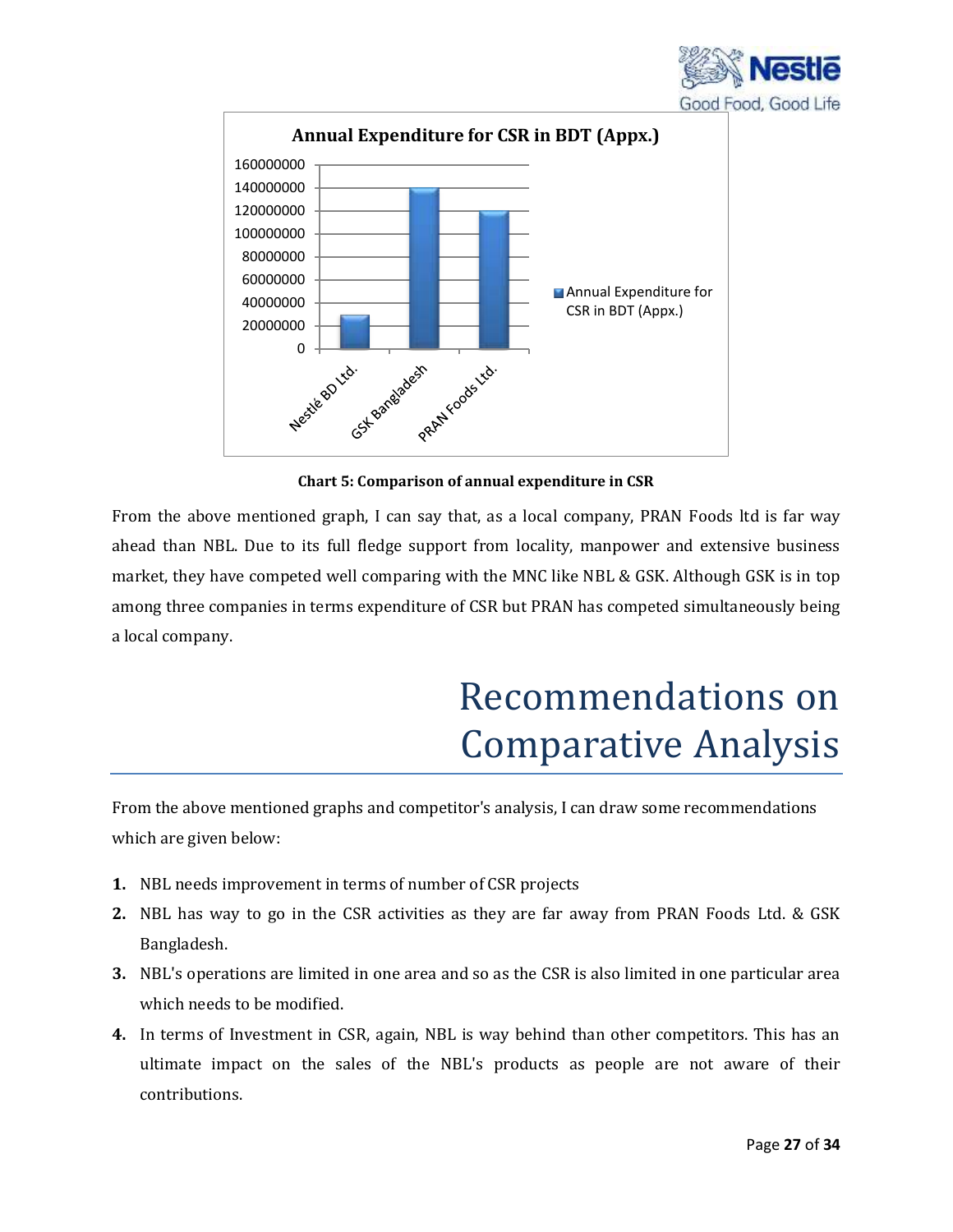



**Chart 5: Comparison of annual expenditure in CSR**

From the above mentioned graph, I can say that, as a local company, PRAN Foods ltd is far way ahead than NBL. Due to its full fledge support from locality, manpower and extensive business market, they have competed well comparing with the MNC like NBL & GSK. Although GSK is in top among three companies in terms expenditure of CSR but PRAN has competed simultaneously being a local company.

## Recommendations on Comparative Analysis

From the above mentioned graphs and competitor's analysis, I can draw some recommendations which are given below:

- **1.** NBL needs improvement in terms of number of CSR projects
- **2.** NBL has way to go in the CSR activities as they are far away from PRAN Foods Ltd. & GSK Bangladesh.
- **3.** NBL's operations are limited in one area and so as the CSR is also limited in one particular area which needs to be modified.
- **4.** In terms of Investment in CSR, again, NBL is way behind than other competitors. This has an ultimate impact on the sales of the NBL's products as people are not aware of their contributions.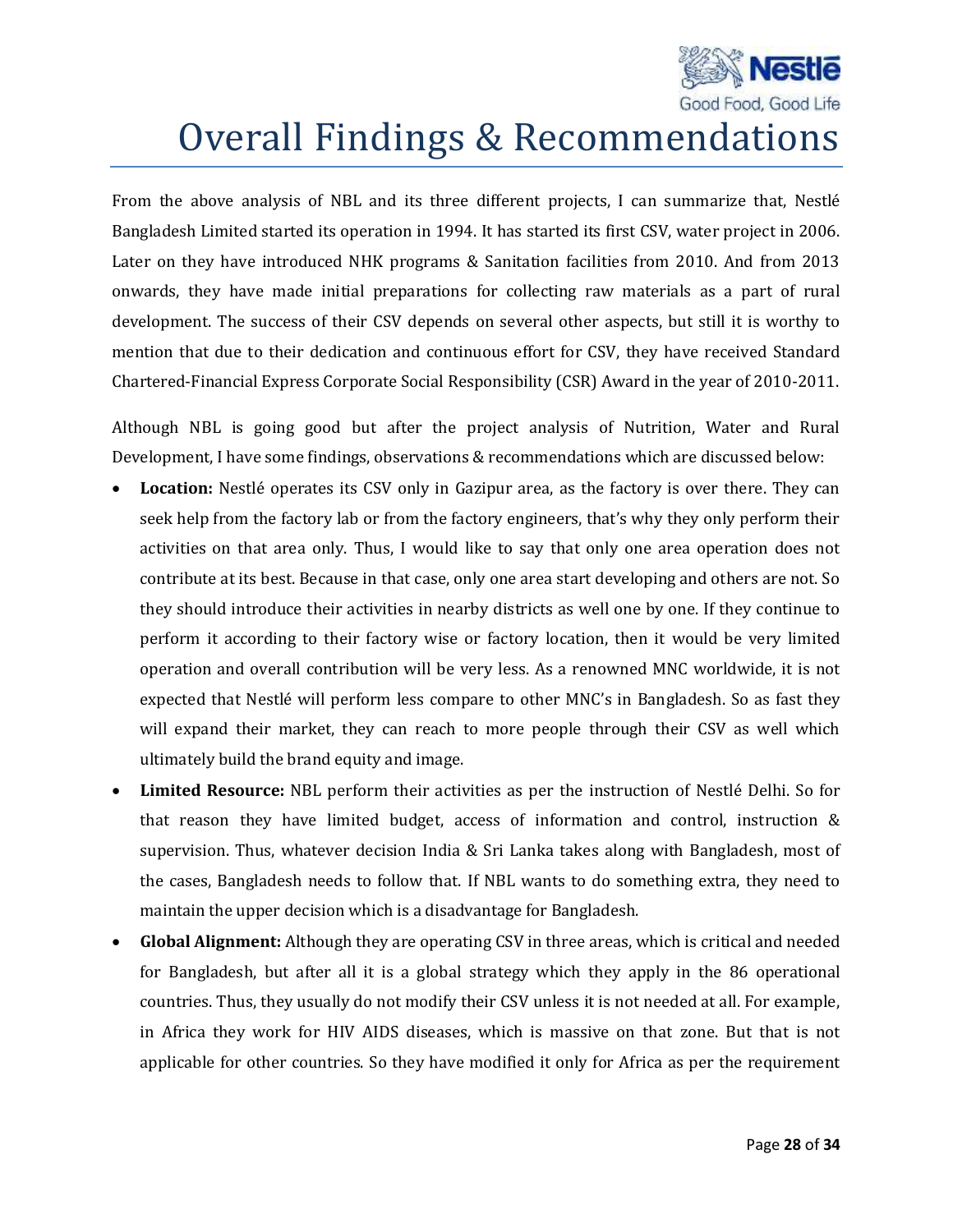

## Overall Findings & Recommendations

From the above analysis of NBL and its three different projects, I can summarize that, Nestlé Bangladesh Limited started its operation in 1994. It has started its first CSV, water project in 2006. Later on they have introduced NHK programs & Sanitation facilities from 2010. And from 2013 onwards, they have made initial preparations for collecting raw materials as a part of rural development. The success of their CSV depends on several other aspects, but still it is worthy to mention that due to their dedication and continuous effort for CSV, they have received Standard Chartered-Financial Express Corporate Social Responsibility (CSR) Award in the year of 2010-2011.

Although NBL is going good but after the project analysis of Nutrition, Water and Rural Development, I have some findings, observations & recommendations which are discussed below:

- **Location:** Nestlé operates its CSV only in Gazipur area, as the factory is over there. They can seek help from the factory lab or from the factory engineers, that's why they only perform their activities on that area only. Thus, I would like to say that only one area operation does not contribute at its best. Because in that case, only one area start developing and others are not. So they should introduce their activities in nearby districts as well one by one. If they continue to perform it according to their factory wise or factory location, then it would be very limited operation and overall contribution will be very less. As a renowned MNC worldwide, it is not expected that Nestlé will perform less compare to other MNC's in Bangladesh. So as fast they will expand their market, they can reach to more people through their CSV as well which ultimately build the brand equity and image.
- **Limited Resource:** NBL perform their activities as per the instruction of Nestlé Delhi. So for that reason they have limited budget, access of information and control, instruction & supervision. Thus, whatever decision India & Sri Lanka takes along with Bangladesh, most of the cases, Bangladesh needs to follow that. If NBL wants to do something extra, they need to maintain the upper decision which is a disadvantage for Bangladesh.
- **Global Alignment:** Although they are operating CSV in three areas, which is critical and needed for Bangladesh, but after all it is a global strategy which they apply in the 86 operational countries. Thus, they usually do not modify their CSV unless it is not needed at all. For example, in Africa they work for HIV AIDS diseases, which is massive on that zone. But that is not applicable for other countries. So they have modified it only for Africa as per the requirement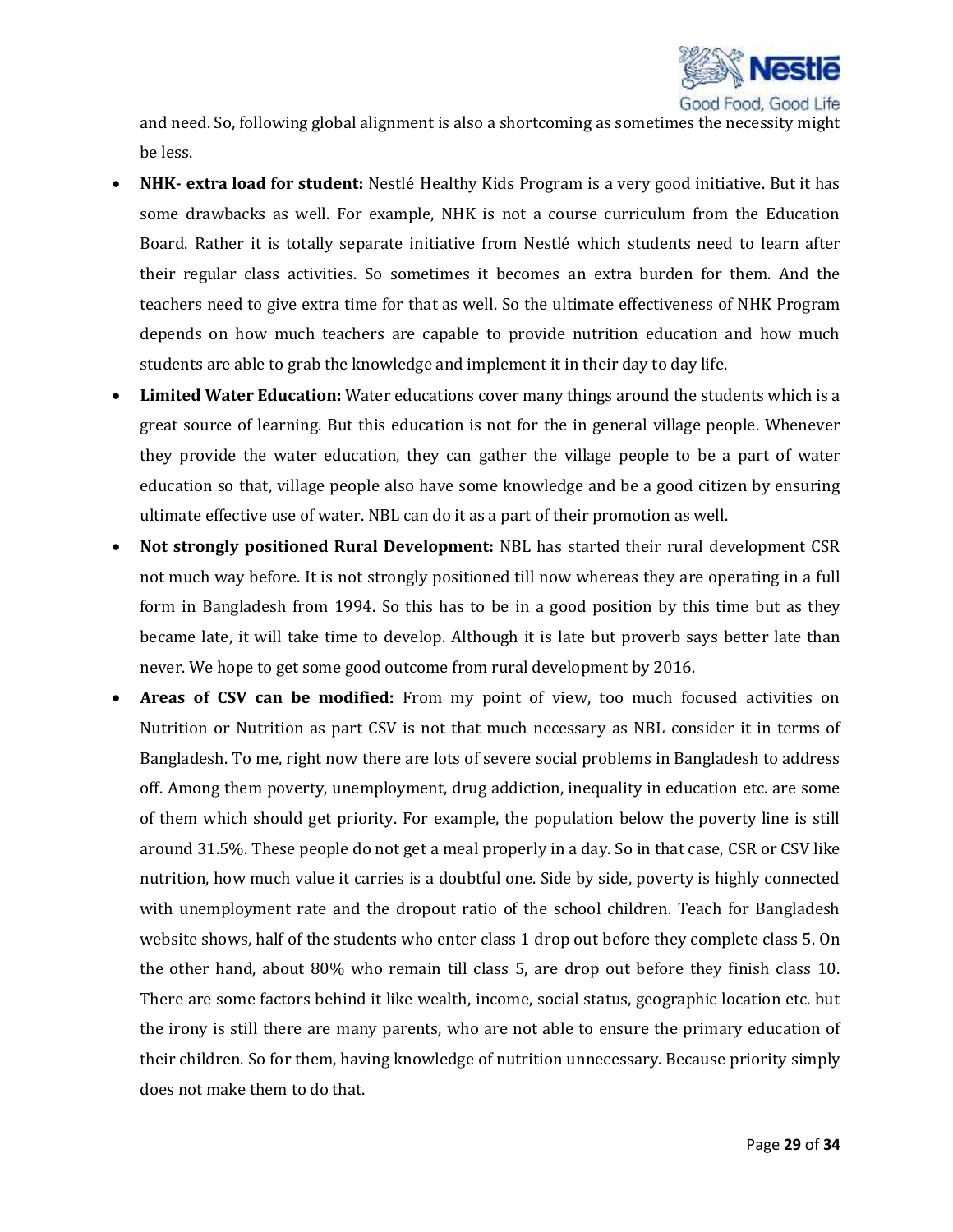

and need. So, following global alignment is also a shortcoming as sometimes the necessity might be less.

- **NHK- extra load for student:** Nestlé Healthy Kids Program is a very good initiative. But it has some drawbacks as well. For example, NHK is not a course curriculum from the Education Board. Rather it is totally separate initiative from Nestlé which students need to learn after their regular class activities. So sometimes it becomes an extra burden for them. And the teachers need to give extra time for that as well. So the ultimate effectiveness of NHK Program depends on how much teachers are capable to provide nutrition education and how much students are able to grab the knowledge and implement it in their day to day life.
- **Limited Water Education:** Water educations cover many things around the students which is a great source of learning. But this education is not for the in general village people. Whenever they provide the water education, they can gather the village people to be a part of water education so that, village people also have some knowledge and be a good citizen by ensuring ultimate effective use of water. NBL can do it as a part of their promotion as well.
- **Not strongly positioned Rural Development:** NBL has started their rural development CSR not much way before. It is not strongly positioned till now whereas they are operating in a full form in Bangladesh from 1994. So this has to be in a good position by this time but as they became late, it will take time to develop. Although it is late but proverb says better late than never. We hope to get some good outcome from rural development by 2016.
- **Areas of CSV can be modified:** From my point of view, too much focused activities on Nutrition or Nutrition as part CSV is not that much necessary as NBL consider it in terms of Bangladesh. To me, right now there are lots of severe social problems in Bangladesh to address off. Among them poverty, unemployment, drug addiction, inequality in education etc. are some of them which should get priority. For example, the population below the poverty line is still around 31.5%. These people do not get a meal properly in a day. So in that case, CSR or CSV like nutrition, how much value it carries is a doubtful one. Side by side, poverty is highly connected with unemployment rate and the dropout ratio of the school children. Teach for Bangladesh website shows, half of the students who enter class 1 drop out before they complete class 5. On the other hand, about 80% who remain till class 5, are drop out before they finish class 10. There are some factors behind it like wealth, income, social status, geographic location etc. but the irony is still there are many parents, who are not able to ensure the primary education of their children. So for them, having knowledge of nutrition unnecessary. Because priority simply does not make them to do that.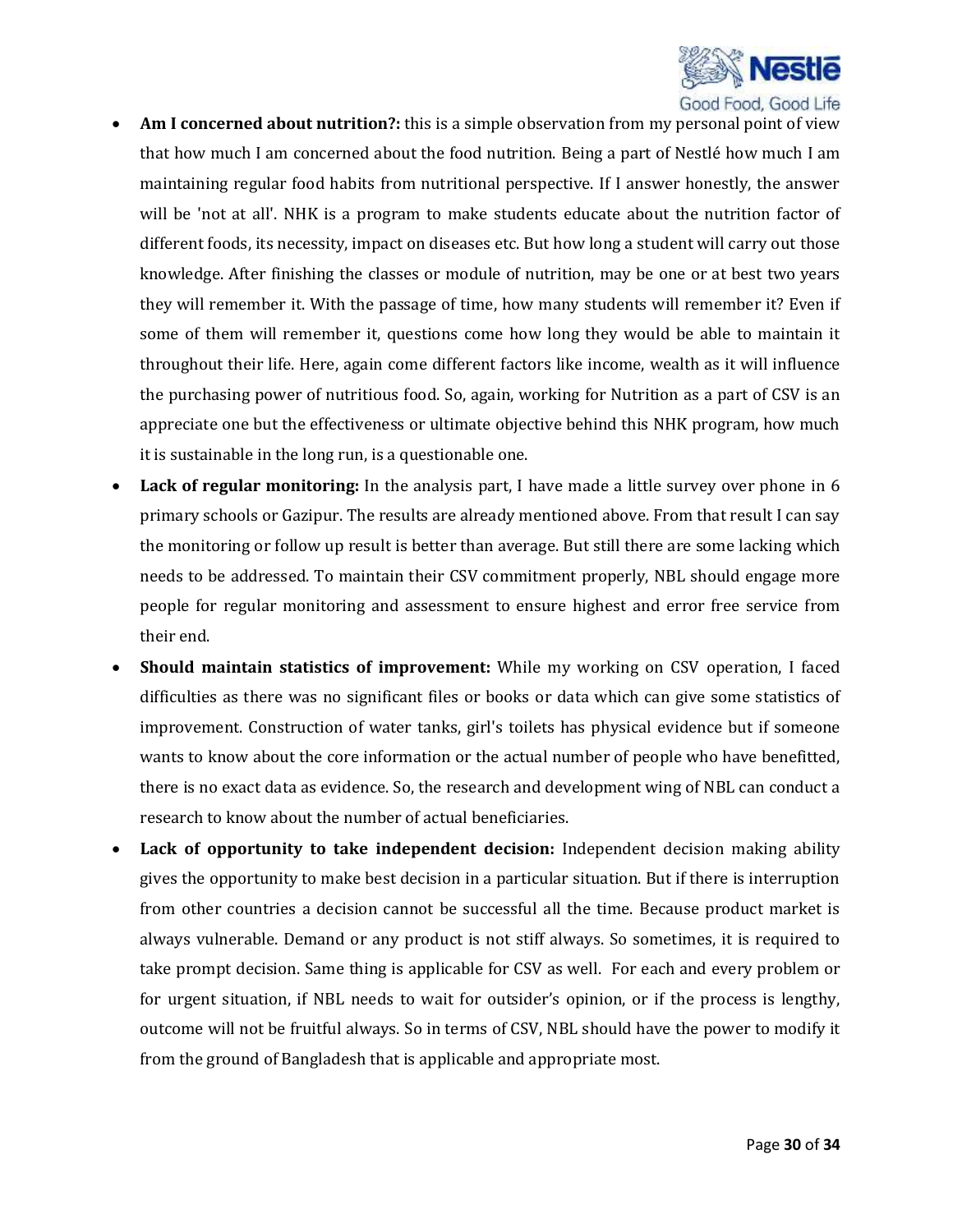

- **Am I concerned about nutrition?:** this is a simple observation from my personal point of view that how much I am concerned about the food nutrition. Being a part of Nestlé how much I am maintaining regular food habits from nutritional perspective. If I answer honestly, the answer will be 'not at all'. NHK is a program to make students educate about the nutrition factor of different foods, its necessity, impact on diseases etc. But how long a student will carry out those knowledge. After finishing the classes or module of nutrition, may be one or at best two years they will remember it. With the passage of time, how many students will remember it? Even if some of them will remember it, questions come how long they would be able to maintain it throughout their life. Here, again come different factors like income, wealth as it will influence the purchasing power of nutritious food. So, again, working for Nutrition as a part of CSV is an appreciate one but the effectiveness or ultimate objective behind this NHK program, how much it is sustainable in the long run, is a questionable one.
- **Lack of regular monitoring:** In the analysis part, I have made a little survey over phone in 6 primary schools or Gazipur. The results are already mentioned above. From that result I can say the monitoring or follow up result is better than average. But still there are some lacking which needs to be addressed. To maintain their CSV commitment properly, NBL should engage more people for regular monitoring and assessment to ensure highest and error free service from their end.
- **Should maintain statistics of improvement:** While my working on CSV operation, I faced difficulties as there was no significant files or books or data which can give some statistics of improvement. Construction of water tanks, girl's toilets has physical evidence but if someone wants to know about the core information or the actual number of people who have benefitted, there is no exact data as evidence. So, the research and development wing of NBL can conduct a research to know about the number of actual beneficiaries.
- **Lack of opportunity to take independent decision:** Independent decision making ability gives the opportunity to make best decision in a particular situation. But if there is interruption from other countries a decision cannot be successful all the time. Because product market is always vulnerable. Demand or any product is not stiff always. So sometimes, it is required to take prompt decision. Same thing is applicable for CSV as well. For each and every problem or for urgent situation, if NBL needs to wait for outsider's opinion, or if the process is lengthy, outcome will not be fruitful always. So in terms of CSV, NBL should have the power to modify it from the ground of Bangladesh that is applicable and appropriate most.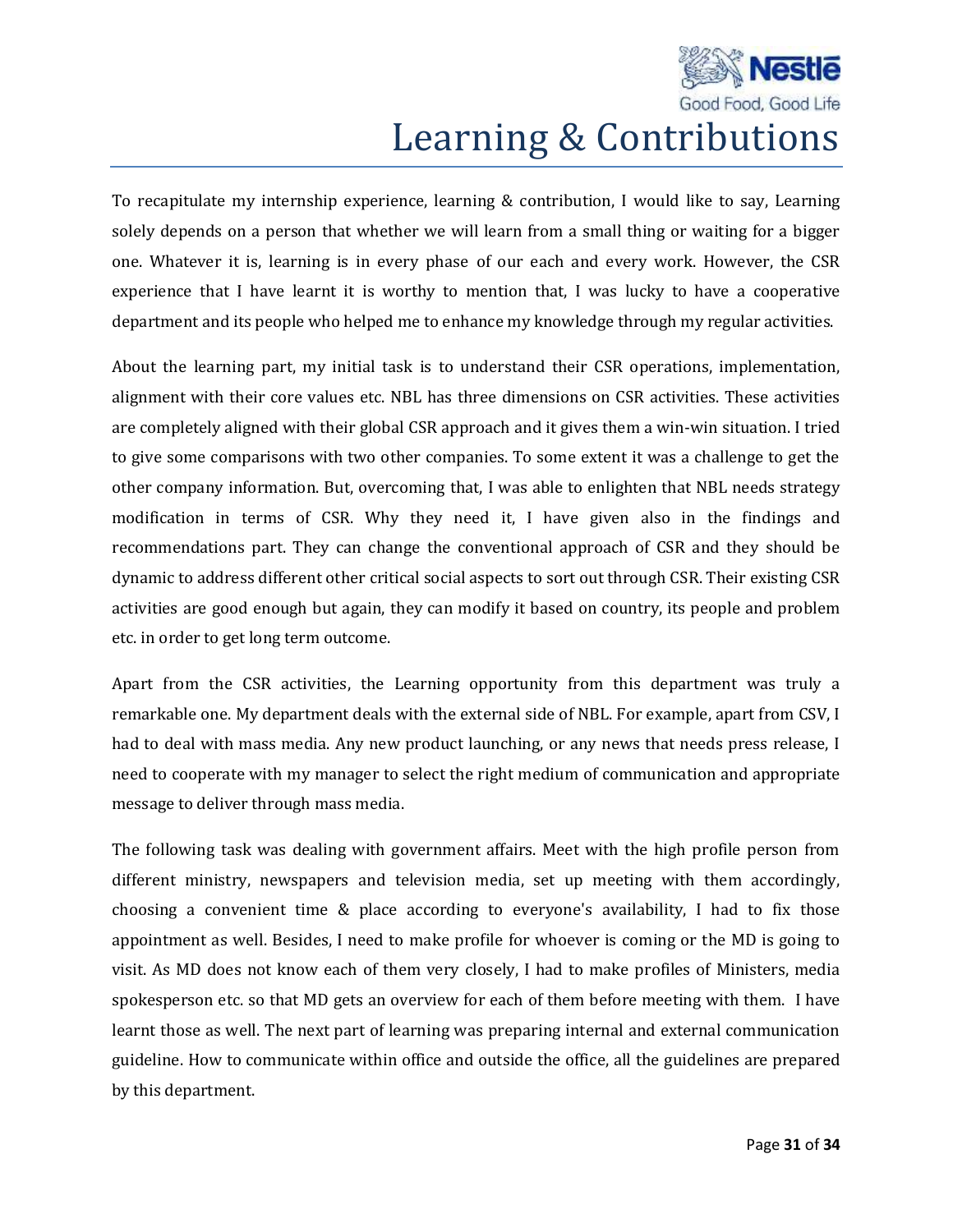

# Learning & Contributions

To recapitulate my internship experience, learning & contribution, I would like to say, Learning solely depends on a person that whether we will learn from a small thing or waiting for a bigger one. Whatever it is, learning is in every phase of our each and every work. However, the CSR experience that I have learnt it is worthy to mention that, I was lucky to have a cooperative department and its people who helped me to enhance my knowledge through my regular activities.

About the learning part, my initial task is to understand their CSR operations, implementation, alignment with their core values etc. NBL has three dimensions on CSR activities. These activities are completely aligned with their global CSR approach and it gives them a win-win situation. I tried to give some comparisons with two other companies. To some extent it was a challenge to get the other company information. But, overcoming that, I was able to enlighten that NBL needs strategy modification in terms of CSR. Why they need it, I have given also in the findings and recommendations part. They can change the conventional approach of CSR and they should be dynamic to address different other critical social aspects to sort out through CSR. Their existing CSR activities are good enough but again, they can modify it based on country, its people and problem etc. in order to get long term outcome.

Apart from the CSR activities, the Learning opportunity from this department was truly a remarkable one. My department deals with the external side of NBL. For example, apart from CSV, I had to deal with mass media. Any new product launching, or any news that needs press release, I need to cooperate with my manager to select the right medium of communication and appropriate message to deliver through mass media.

The following task was dealing with government affairs. Meet with the high profile person from different ministry, newspapers and television media, set up meeting with them accordingly, choosing a convenient time & place according to everyone's availability, I had to fix those appointment as well. Besides, I need to make profile for whoever is coming or the MD is going to visit. As MD does not know each of them very closely, I had to make profiles of Ministers, media spokesperson etc. so that MD gets an overview for each of them before meeting with them. I have learnt those as well. The next part of learning was preparing internal and external communication guideline. How to communicate within office and outside the office, all the guidelines are prepared by this department.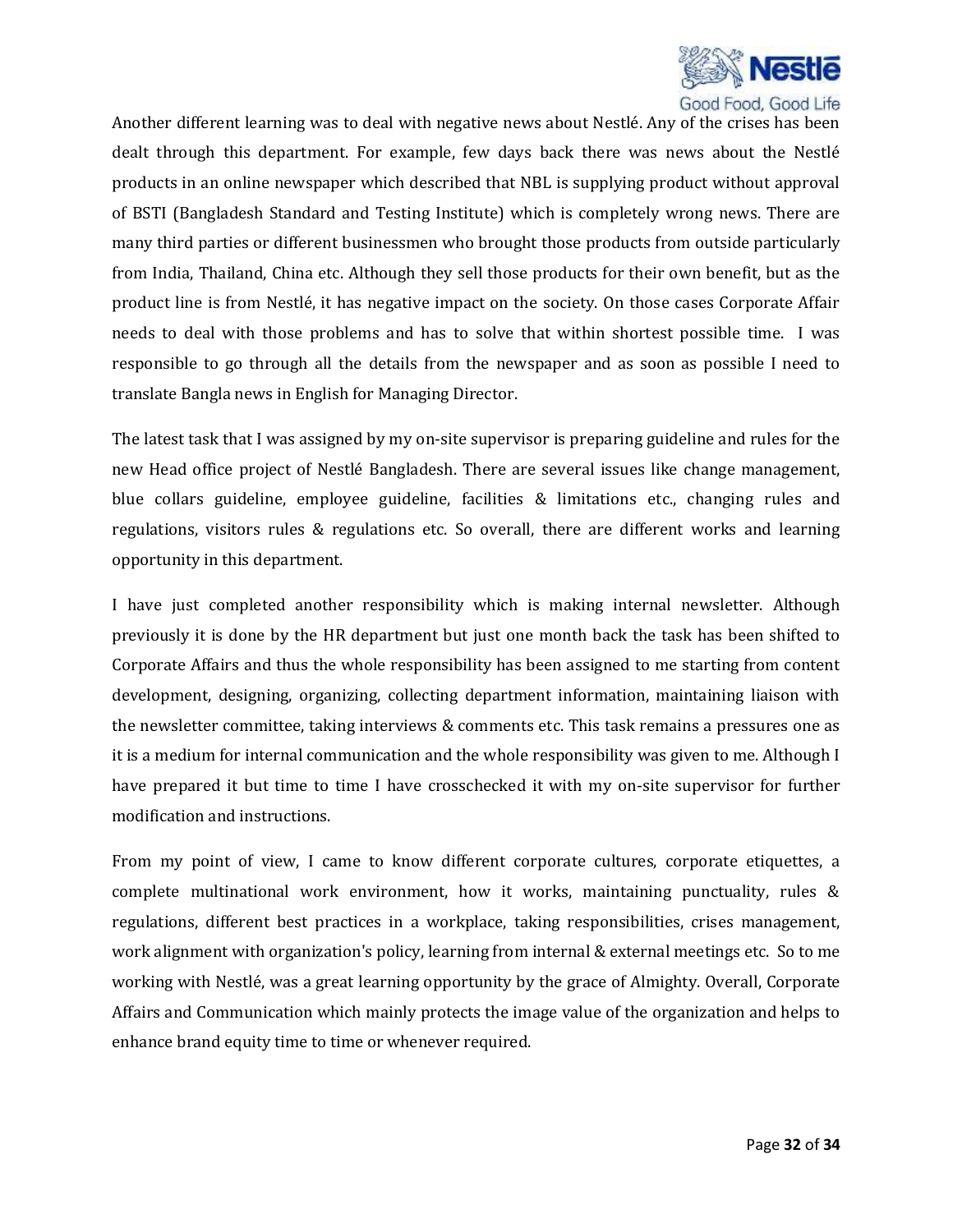

Another different learning was to deal with negative news about Nestlé. Any of the crises has been dealt through this department. For example, few days back there was news about the Nestlé products in an online newspaper which described that NBL is supplying product without approval of BSTI (Bangladesh Standard and Testing Institute) which is completely wrong news. There are many third parties or different businessmen who brought those products from outside particularly from India, Thailand, China etc. Although they sell those products for their own benefit, but as the product line is from Nestlé, it has negative impact on the society. On those cases Corporate Affair needs to deal with those problems and has to solve that within shortest possible time. I was responsible to go through all the details from the newspaper and as soon as possible I need to translate Bangla news in English for Managing Director.

The latest task that I was assigned by my on-site supervisor is preparing guideline and rules for the new Head office project of Nestlé Bangladesh. There are several issues like change management, blue collars guideline, employee guideline, facilities & limitations etc., changing rules and regulations, visitors rules & regulations etc. So overall, there are different works and learning opportunity in this department.

I have just completed another responsibility which is making internal newsletter. Although previously it is done by the HR department but just one month back the task has been shifted to Corporate Affairs and thus the whole responsibility has been assigned to me starting from content development, designing, organizing, collecting department information, maintaining liaison with the newsletter committee, taking interviews & comments etc. This task remains a pressures one as it is a medium for internal communication and the whole responsibility was given to me. Although I have prepared it but time to time I have crosschecked it with my on-site supervisor for further modification and instructions.

From my point of view, I came to know different corporate cultures, corporate etiquettes, a complete multinational work environment, how it works, maintaining punctuality, rules & regulations, different best practices in a workplace, taking responsibilities, crises management, work alignment with organization's policy, learning from internal & external meetings etc. So to me working with Nestlé, was a great learning opportunity by the grace of Almighty. Overall, Corporate Affairs and Communication which mainly protects the image value of the organization and helps to enhance brand equity time to time or whenever required.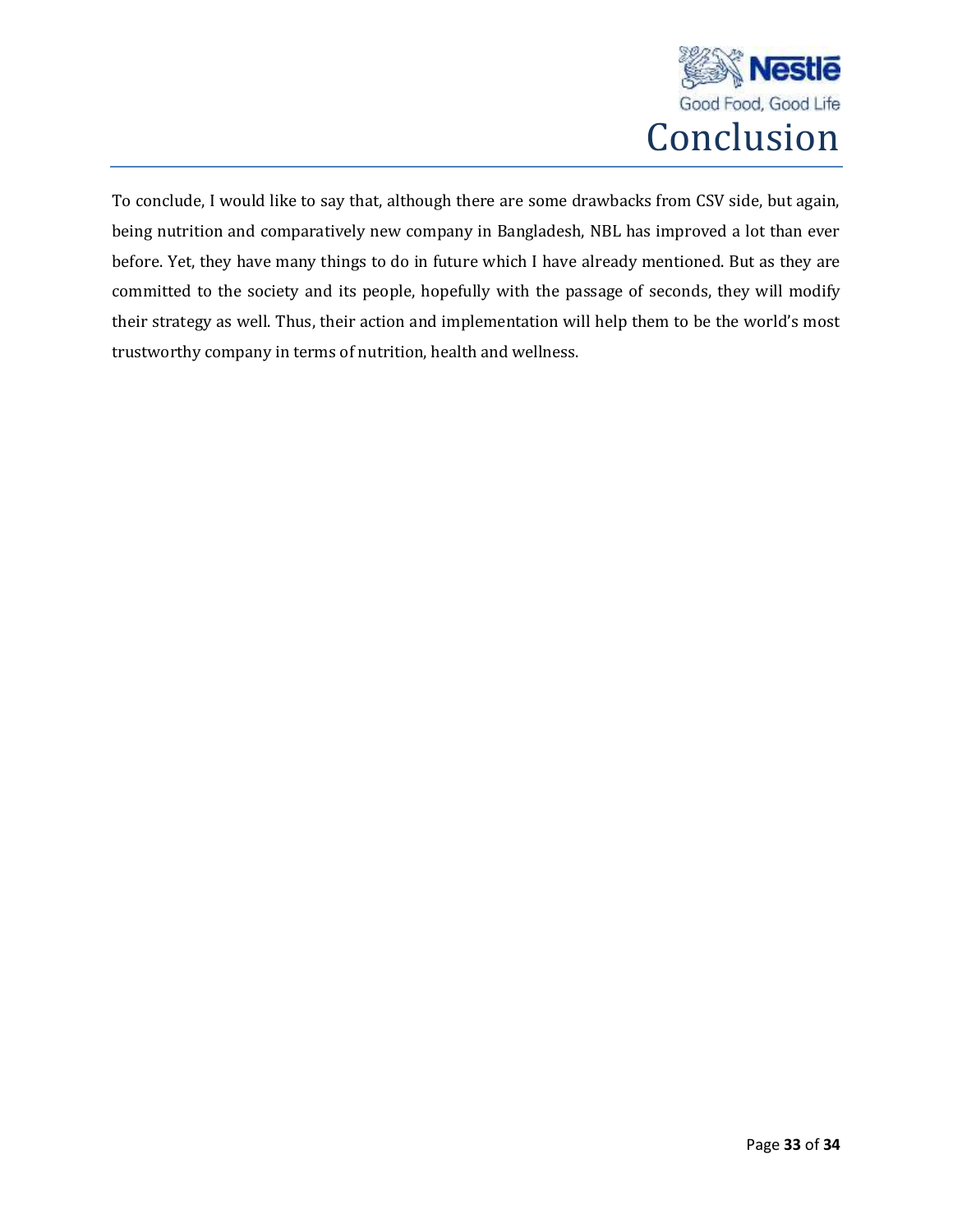

To conclude, I would like to say that, although there are some drawbacks from CSV side, but again, being nutrition and comparatively new company in Bangladesh, NBL has improved a lot than ever before. Yet, they have many things to do in future which I have already mentioned. But as they are committed to the society and its people, hopefully with the passage of seconds, they will modify their strategy as well. Thus, their action and implementation will help them to be the world's most trustworthy company in terms of nutrition, health and wellness.